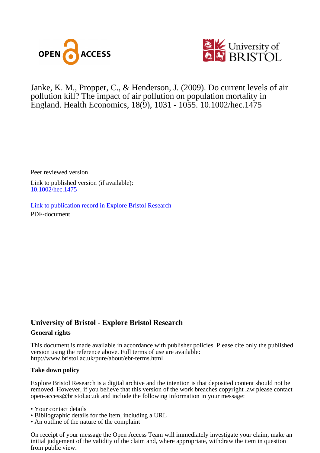



# Janke, K. M., Propper, C., & Henderson, J. (2009). Do current levels of air pollution kill? The impact of air pollution on population mortality in England. Health Economics, 18(9), 1031 - 1055. 10.1002/hec.1475

Peer reviewed version

Link to published version (if available): [10.1002/hec.1475](http://dx.doi.org/10.1002/hec.1475)

[Link to publication record in Explore Bristol Research](http://research-information.bristol.ac.uk/en/publications/do-current-levels-of-air-pollution-kill-the-impact-of-air-pollution-on-population-mortality-in-england(7595aec0-8804-432e-a5a1-f210c34f1912).html) PDF-document

## **University of Bristol - Explore Bristol Research**

### **General rights**

This document is made available in accordance with publisher policies. Please cite only the published version using the reference above. Full terms of use are available: http://www.bristol.ac.uk/pure/about/ebr-terms.html

### **Take down policy**

Explore Bristol Research is a digital archive and the intention is that deposited content should not be removed. However, if you believe that this version of the work breaches copyright law please contact open-access@bristol.ac.uk and include the following information in your message:

- Your contact details
- Bibliographic details for the item, including a URL
- An outline of the nature of the complaint

On receipt of your message the Open Access Team will immediately investigate your claim, make an initial judgement of the validity of the claim and, where appropriate, withdraw the item in question from public view.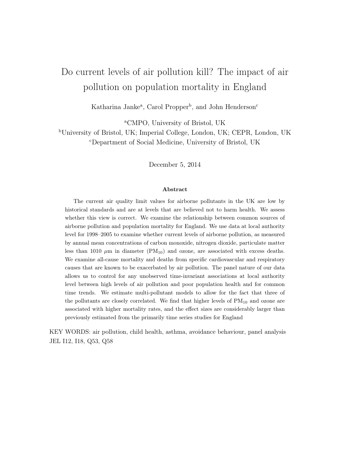# Do current levels of air pollution kill? The impact of air pollution on population mortality in England

Katharina Janke<sup>a</sup>, Carol Propper<sup>b</sup>, and John Henderson<sup>c</sup>

<sup>a</sup>CMPO, University of Bristol, UK

<sup>b</sup>University of Bristol, UK; Imperial College, London, UK; CEPR, London, UK <sup>c</sup>Department of Social Medicine, University of Bristol, UK

December 5, 2014

#### Abstract

The current air quality limit values for airborne pollutants in the UK are low by historical standards and are at levels that are believed not to harm health. We assess whether this view is correct. We examine the relationship between common sources of airborne pollution and population mortality for England. We use data at local authority level for 1998–2005 to examine whether current levels of airborne pollution, as measured by annual mean concentrations of carbon monoxide, nitrogen dioxide, particulate matter less than 1010  $\mu$ m in diameter (PM<sub>10</sub>) and ozone, are associated with excess deaths. We examine all-cause mortality and deaths from specific cardiovascular and respiratory causes that are known to be exacerbated by air pollution. The panel nature of our data allows us to control for any unobserved time-invariant associations at local authority level between high levels of air pollution and poor population health and for common time trends. We estimate multi-pollutant models to allow for the fact that three of the pollutants are closely correlated. We find that higher levels of  $PM_{10}$  and ozone are associated with higher mortality rates, and the effect sizes are considerably larger than previously estimated from the primarily time series studies for England

KEY WORDS: air pollution, child health, asthma, avoidance behaviour, panel analysis JEL I12, I18, Q53, Q58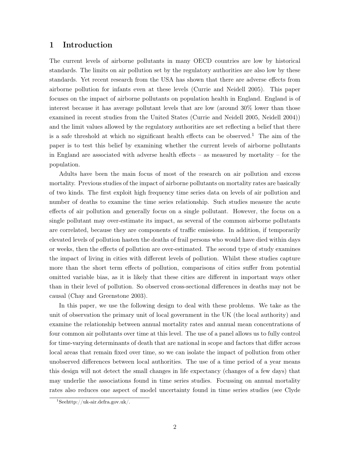### 1 Introduction

The current levels of airborne pollutants in many OECD countries are low by historical standards. The limits on air pollution set by the regulatory authorities are also low by these standards. Yet recent research from the USA has shown that there are adverse effects from airborne pollution for infants even at these levels (Currie and Neidell 2005). This paper focuses on the impact of airborne pollutants on population health in England. England is of interest because it has average pollutant levels that are low (around 30% lower than those examined in recent studies from the United States (Currie and Neidell 2005, Neidell 2004)) and the limit values allowed by the regulatory authorities are set reflecting a belief that there is a safe threshold at which no significant health effects can be observed.<sup>1</sup> The aim of the paper is to test this belief by examining whether the current levels of airborne pollutants in England are associated with adverse health effects – as measured by mortality – for the population.

Adults have been the main focus of most of the research on air pollution and excess mortality. Previous studies of the impact of airborne pollutants on mortality rates are basically of two kinds. The first exploit high frequency time series data on levels of air pollution and number of deaths to examine the time series relationship. Such studies measure the acute effects of air pollution and generally focus on a single pollutant. However, the focus on a single pollutant may over-estimate its impact, as several of the common airborne pollutants are correlated, because they are components of traffic emissions. In addition, if temporarily elevated levels of pollution hasten the deaths of frail persons who would have died within days or weeks, then the effects of pollution are over-estimated. The second type of study examines the impact of living in cities with different levels of pollution. Whilst these studies capture more than the short term effects of pollution, comparisons of cities suffer from potential omitted variable bias, as it is likely that these cities are different in important ways other than in their level of pollution. So observed cross-sectional differences in deaths may not be causal (Chay and Greenstone 2003).

In this paper, we use the following design to deal with these problems. We take as the unit of observation the primary unit of local government in the UK (the local authority) and examine the relationship between annual mortality rates and annual mean concentrations of four common air pollutants over time at this level. The use of a panel allows us to fully control for time-varying determinants of death that are national in scope and factors that differ across local areas that remain fixed over time, so we can isolate the impact of pollution from other unobserved differences between local authorities. The use of a time period of a year means this design will not detect the small changes in life expectancy (changes of a few days) that may underlie the associations found in time series studies. Focussing on annual mortality rates also reduces one aspect of model uncertainty found in time series studies (see Clyde

 $1$ Seehttp://uk-air.defra.gov.uk/.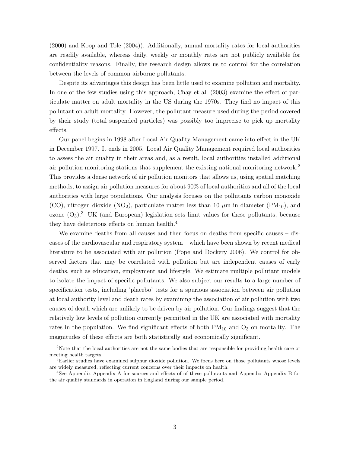(2000) and Koop and Tole (2004)). Additionally, annual mortality rates for local authorities are readily available, whereas daily, weekly or monthly rates are not publicly available for confidentiality reasons. Finally, the research design allows us to control for the correlation between the levels of common airborne pollutants.

Despite its advantages this design has been little used to examine pollution and mortality. In one of the few studies using this approach, Chay et al. (2003) examine the effect of particulate matter on adult mortality in the US during the 1970s. They find no impact of this pollutant on adult mortality. However, the pollutant measure used during the period covered by their study (total suspended particles) was possibly too imprecise to pick up mortality effects.

Our panel begins in 1998 after Local Air Quality Management came into effect in the UK in December 1997. It ends in 2005. Local Air Quality Management required local authorities to assess the air quality in their areas and, as a result, local authorities installed additional air pollution monitoring stations that supplement the existing national monitoring network.<sup>2</sup> This provides a dense network of air pollution monitors that allows us, using spatial matching methods, to assign air pollution measures for about 90% of local authorities and all of the local authorities with large populations. Our analysis focuses on the pollutants carbon monoxide (CO), nitrogen dioxide (NO<sub>2</sub>), particulate matter less than 10  $\mu$ m in diameter (PM<sub>10</sub>), and ozone  $(O_3)$ <sup>3</sup> UK (and European) legislation sets limit values for these pollutants, because they have deleterious effects on human health.<sup>4</sup>

We examine deaths from all causes and then focus on deaths from specific causes – diseases of the cardiovascular and respiratory system – which have been shown by recent medical literature to be associated with air pollution (Pope and Dockery 2006). We control for observed factors that may be correlated with pollution but are independent causes of early deaths, such as education, employment and lifestyle. We estimate multiple pollutant models to isolate the impact of specific pollutants. We also subject our results to a large number of specification tests, including 'placebo' tests for a spurious association between air pollution at local authority level and death rates by examining the association of air pollution with two causes of death which are unlikely to be driven by air pollution. Our findings suggest that the relatively low levels of pollution currently permitted in the UK are associated with mortality rates in the population. We find significant effects of both  $PM_{10}$  and  $O_3$  on mortality. The magnitudes of these effects are both statistically and economically significant.

<sup>&</sup>lt;sup>2</sup>Note that the local authorities are not the same bodies that are responsible for providing health care or meeting health targets.

<sup>&</sup>lt;sup>3</sup>Earlier studies have examined sulphur dioxide pollution. We focus here on those pollutants whose levels are widely measured, reflecting current concerns over their impacts on health.

<sup>4</sup>See Appendix Appendix A for sources and effects of of these pollutants and Appendix Appendix B for the air quality standards in operation in England during our sample period.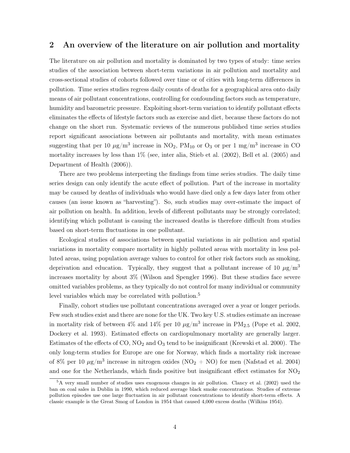### 2 An overview of the literature on air pollution and mortality

The literature on air pollution and mortality is dominated by two types of study: time series studies of the association between short-term variations in air pollution and mortality and cross-sectional studies of cohorts followed over time or of cities with long-term differences in pollution. Time series studies regress daily counts of deaths for a geographical area onto daily means of air pollutant concentrations, controlling for confounding factors such as temperature, humidity and barometric pressure. Exploiting short-term variation to identify pollutant effects eliminates the effects of lifestyle factors such as exercise and diet, because these factors do not change on the short run. Systematic reviews of the numerous published time series studies report significant associations between air pollutants and mortality, with mean estimates suggesting that per 10  $\mu$ g/m<sup>3</sup> increase in NO<sub>2</sub>, PM<sub>10</sub> or O<sub>3</sub> or per 1 mg/m<sup>3</sup> increase in CO mortality increases by less than 1% (see, inter alia, Stieb et al. (2002), Bell et al. (2005) and Department of Health (2006)).

There are two problems interpreting the findings from time series studies. The daily time series design can only identify the acute effect of pollution. Part of the increase in mortality may be caused by deaths of individuals who would have died only a few days later from other causes (an issue known as "harvesting"). So, such studies may over-estimate the impact of air pollution on health. In addition, levels of different pollutants may be strongly correlated; identifying which pollutant is causing the increased deaths is therefore difficult from studies based on short-term fluctuations in one pollutant.

Ecological studies of associations between spatial variations in air pollution and spatial variations in mortality compare mortality in highly polluted areas with mortality in less polluted areas, using population average values to control for other risk factors such as smoking, deprivation and education. Typically, they suggest that a pollutant increase of 10  $\mu$ g/m<sup>3</sup> increases mortality by about 3% (Wilson and Spengler 1996). But these studies face severe omitted variables problems, as they typically do not control for many individual or community level variables which may be correlated with pollution.<sup>5</sup>

Finally, cohort studies use pollutant concentrations averaged over a year or longer periods. Few such studies exist and there are none for the UK. Two key U.S. studies estimate an increase in mortality risk of between 4% and 14% per 10  $\mu$ g/m<sup>3</sup> increase in PM<sub>2.5</sub> (Pope et al. 2002, Dockery et al. 1993). Estimated effects on cardiopulmonary mortality are generally larger. Estimates of the effects of  $CO$ ,  $NO<sub>2</sub>$  and  $O<sub>3</sub>$  tend to be insignificant (Krewski et al. 2000). The only long-term studies for Europe are one for Norway, which finds a mortality risk increase of 8% per 10  $\mu$ g/m<sup>3</sup> increase in nitrogen oxides (NO<sub>2</sub> + NO) for men (Nafstad et al. 2004) and one for the Netherlands, which finds positive but insignificant effect estimates for  $NO<sub>2</sub>$ 

<sup>5</sup>A very small number of studies uses exogenous changes in air pollution. Clancy et al. (2002) used the ban on coal sales in Dublin in 1990, which reduced average black smoke concentrations. Studies of extreme pollution episodes use one large fluctuation in air pollutant concentrations to identify short-term effects. A classic example is the Great Smog of London in 1954 that caused 4,000 excess deaths (Wilkins 1954).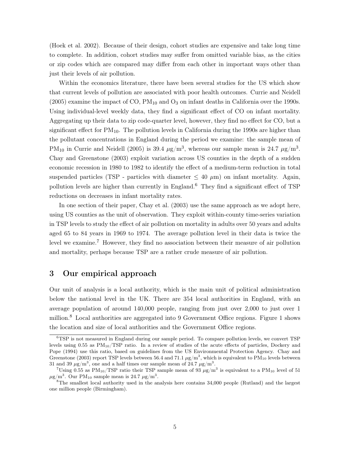(Hoek et al. 2002). Because of their design, cohort studies are expensive and take long time to complete. In addition, cohort studies may suffer from omitted variable bias, as the cities or zip codes which are compared may differ from each other in important ways other than just their levels of air pollution.

Within the economics literature, there have been several studies for the US which show that current levels of pollution are associated with poor health outcomes. Currie and Neidell  $(2005)$  examine the impact of CO,  $PM_{10}$  and O<sub>3</sub> on infant deaths in California over the 1990s. Using individual-level weekly data, they find a significant effect of CO on infant mortality. Aggregating up their data to zip code-quarter level, however, they find no effect for CO, but a significant effect for  $PM_{10}$ . The pollution levels in California during the 1990s are higher than the pollutant concentrations in England during the period we examine: the sample mean of PM<sub>10</sub> in Currie and Neidell (2005) is 39.4  $\mu$ g/m<sup>3</sup>, whereas our sample mean is 24.7  $\mu$ g/m<sup>3</sup>. Chay and Greenstone (2003) exploit variation across US counties in the depth of a sudden economic recession in 1980 to 1982 to identify the effect of a medium-term reduction in total suspended particles (TSP - particles with diameter  $\leq 40 \ \mu m$ ) on infant mortality. Again, pollution levels are higher than currently in England.<sup>6</sup> They find a significant effect of TSP reductions on decreases in infant mortality rates.

In one section of their paper, Chay et al. (2003) use the same approach as we adopt here, using US counties as the unit of observation. They exploit within-county time-series variation in TSP levels to study the effect of air pollution on mortality in adults over 50 years and adults aged 65 to 84 years in 1969 to 1974. The average pollution level in their data is twice the level we examine.<sup>7</sup> However, they find no association between their measure of air pollution and mortality, perhaps because TSP are a rather crude measure of air pollution.

### 3 Our empirical approach

Our unit of analysis is a local authority, which is the main unit of political administration below the national level in the UK. There are 354 local authorities in England, with an average population of around 140,000 people, ranging from just over 2,000 to just over 1 million.<sup>8</sup> Local authorities are aggregated into 9 Government Office regions. Figure 1 shows the location and size of local authorities and the Government Office regions.

<sup>6</sup>TSP is not measured in England during our sample period. To compare pollution levels, we convert TSP levels using  $0.55$  as  $PM_{10}/TSP$  ratio. In a review of studies of the acute effects of particles, Dockery and Pope (1994) use this ratio, based on guidelines from the US Environmental Protection Agency. Chay and Greenstone (2003) report TSP levels between 56.4 and 71.1  $\mu$ g/m<sup>3</sup>, which is equivalent to PM<sub>10</sub> levels between 31 and 39  $\mu$ g/m<sup>3</sup>, one and a half times our sample mean of 24.7  $\mu$ g/m<sup>3</sup>.

<sup>&</sup>lt;sup>7</sup>Using 0.55 as PM<sub>10</sub>/TSP ratio their TSP sample mean of 93  $\mu$ g/m<sup>3</sup> is equivalent to a PM<sub>10</sub> level of 51  $\mu$ g/m<sup>3</sup>. Our PM<sub>10</sub> sample mean is 24.7  $\mu$ g/m<sup>3</sup>.

 ${}^{8}$ The smallest local authority used in the analysis here contains 34,000 people (Rutland) and the largest one million people (Birmingham).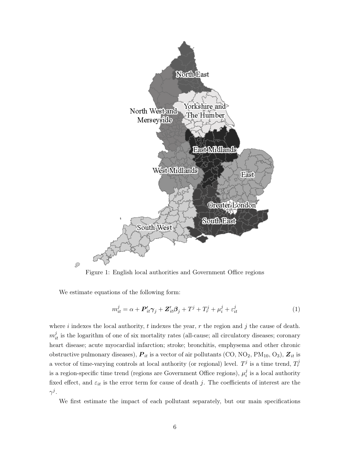

We estimate equations of the following form:

$$
m_{it}^j = \alpha + \boldsymbol{P}_{it}' \boldsymbol{\gamma}_j + \boldsymbol{Z}_{it}' \boldsymbol{\beta}_j + T^j + T_r^j + \mu_i^j + \varepsilon_{it}^j \tag{1}
$$

where i indexes the local authority, t indexes the year,  $r$  the region and  $j$  the cause of death.  $m_{it}^{j}$  is the logarithm of one of six mortality rates (all-cause; all circulatory diseases; coronary heart disease; acute myocardial infarction; stroke; bronchitis, emphysema and other chronic obstructive pulmonary diseases),  $P_{it}$  is a vector of air pollutants (CO, NO<sub>2</sub>, PM<sub>10</sub>, O<sub>3</sub>),  $Z_{it}$  is a vector of time-varying controls at local authority (or regional) level.  $T^j$  is a time trend,  $T^j_r$ is a region-specific time trend (regions are Government Office regions),  $\mu_i^j$  $\frac{J}{i}$  is a local authority fixed effect, and  $\varepsilon_{it}$  is the error term for cause of death j. The coefficients of interest are the  $\gamma^j.$ 

We first estimate the impact of each pollutant separately, but our main specifications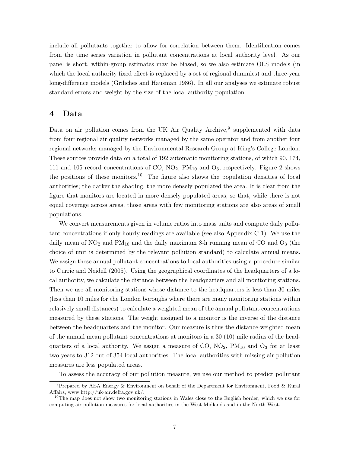include all pollutants together to allow for correlation between them. Identification comes from the time series variation in pollutant concentrations at local authority level. As our panel is short, within-group estimates may be biased, so we also estimate OLS models (in which the local authority fixed effect is replaced by a set of regional dummies) and three-year long-difference models (Griliches and Hausman 1986). In all our analyses we estimate robust standard errors and weight by the size of the local authority population.

#### 4 Data

Data on air pollution comes from the UK Air Quality Archive,<sup>9</sup> supplemented with data from four regional air quality networks managed by the same operator and from another four regional networks managed by the Environmental Research Group at King's College London. These sources provide data on a total of 192 automatic monitoring stations, of which 90, 174, 111 and 105 record concentrations of CO,  $NO<sub>2</sub>$ ,  $PM<sub>10</sub>$  and  $O<sub>3</sub>$ , respectively. Figure 2 shows the positions of these monitors.<sup>10</sup> The figure also shows the population densities of local authorities; the darker the shading, the more densely populated the area. It is clear from the figure that monitors are located in more densely populated areas, so that, while there is not equal coverage across areas, those areas with few monitoring stations are also areas of small populations.

We convert measurements given in volume ratios into mass units and compute daily pollutant concentrations if only hourly readings are available (see also Appendix C-1). We use the daily mean of  $NO<sub>2</sub>$  and  $PM<sub>10</sub>$  and the daily maximum 8-h running mean of CO and  $O<sub>3</sub>$  (the choice of unit is determined by the relevant pollution standard) to calculate annual means. We assign these annual pollutant concentrations to local authorities using a procedure similar to Currie and Neidell (2005). Using the geographical coordinates of the headquarters of a local authority, we calculate the distance between the headquarters and all monitoring stations. Then we use all monitoring stations whose distance to the headquarters is less than 30 miles (less than 10 miles for the London boroughs where there are many monitoring stations within relatively small distances) to calculate a weighted mean of the annual pollutant concentrations measured by these stations. The weight assigned to a monitor is the inverse of the distance between the headquarters and the monitor. Our measure is thus the distance-weighted mean of the annual mean pollutant concentrations at monitors in a 30 (10) mile radius of the headquarters of a local authority. We assign a measure of  $CO$ ,  $NO<sub>2</sub>$ ,  $PM<sub>10</sub>$  and  $O<sub>3</sub>$  for at least two years to 312 out of 354 local authorities. The local authorities with missing air pollution measures are less populated areas.

To assess the accuracy of our pollution measure, we use our method to predict pollutant

<sup>&</sup>lt;sup>9</sup>Prepared by AEA Energy & Environment on behalf of the Department for Environment, Food & Rural Affairs, www.http://uk-air.defra.gov.uk/.

<sup>&</sup>lt;sup>10</sup>The map does not show two monitoring stations in Wales close to the English border, which we use for computing air pollution measures for local authorities in the West Midlands and in the North West.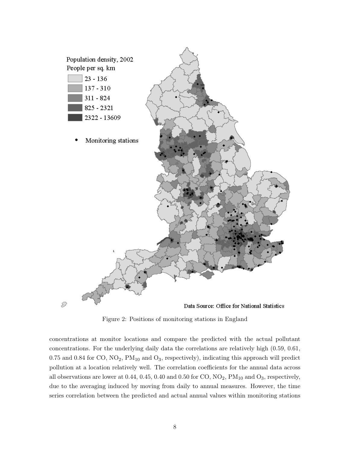

Figure 2: Positions of monitoring stations in England

concentrations at monitor locations and compare the predicted with the actual pollutant concentrations. For the underlying daily data the correlations are relatively high (0.59, 0.61,  $0.75$  and  $0.84$  for CO, NO<sub>2</sub>, PM<sub>10</sub> and O<sub>3</sub>, respectively), indicating this approach will predict pollution at a location relatively well. The correlation coefficients for the annual data across all observations are lower at 0.44, 0.45, 0.40 and 0.50 for CO,  $NO_2$ ,  $PM_{10}$  and  $O_3$ , respectively, due to the averaging induced by moving from daily to annual measures. However, the time series correlation between the predicted and actual annual values within monitoring stations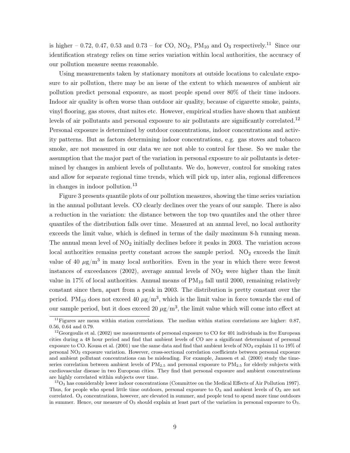is higher – 0.72, 0.47, 0.53 and 0.73 – for CO,  $NO_2$ ,  $PM_{10}$  and  $O_3$  respectively.<sup>11</sup> Since our identification strategy relies on time series variation within local authorities, the accuracy of our pollution measure seems reasonable.

Using measurements taken by stationary monitors at outside locations to calculate exposure to air pollution, there may be an issue of the extent to which measures of ambient air pollution predict personal exposure, as most people spend over 80% of their time indoors. Indoor air quality is often worse than outdoor air quality, because of cigarette smoke, paints, vinyl flooring, gas stoves, dust mites etc. However, empirical studies have shown that ambient levels of air pollutants and personal exposure to air pollutants are significantly correlated.<sup>12</sup> Personal exposure is determined by outdoor concentrations, indoor concentrations and activity patterns. But as factors determining indoor concentrations, e.g. gas stoves and tobacco smoke, are not measured in our data we are not able to control for these. So we make the assumption that the major part of the variation in personal exposure to air pollutants is determined by changes in ambient levels of pollutants. We do, however, control for smoking rates and allow for separate regional time trends, which will pick up, inter alia, regional differences in changes in indoor pollution.<sup>13</sup>

Figure 3 presents quantile plots of our pollution measures, showing the time series variation in the annual pollutant levels. CO clearly declines over the years of our sample. There is also a reduction in the variation: the distance between the top two quantiles and the other three quantiles of the distribution falls over time. Measured at an annual level, no local authority exceeds the limit value, which is defined in terms of the daily maximum 8-h running mean. The annual mean level of  $NO<sub>2</sub>$  initially declines before it peaks in 2003. The variation across local authorities remains pretty constant across the sample period.  $NO<sub>2</sub>$  exceeds the limit value of 40  $\mu$ g/m<sup>3</sup> in many local authorities. Even in the year in which there were fewest instances of exceedances (2002), average annual levels of  $NO<sub>2</sub>$  were higher than the limit value in 17% of local authorities. Annual means of  $PM_{10}$  fall until 2000, remaining relatively constant since then, apart from a peak in 2003. The distribution is pretty constant over the period. PM<sub>10</sub> does not exceed 40  $\mu$ g/m<sup>3</sup>, which is the limit value in force towards the end of our sample period, but it does exceed 20  $\mu$ g/m<sup>3</sup>, the limit value which will come into effect at

 $11$  Figures are mean within station correlations. The median within station correlations are higher: 0.87, 0.56, 0.64 and 0.79.

<sup>&</sup>lt;sup>12</sup>Georgoulis et al. (2002) use measurements of personal exposure to CO for 401 individuals in five European cities during a 48 hour period and find that ambient levels of CO are a significant determinant of personal exposure to CO. Kousa et al. (2001) use the same data and find that ambient levels of NO<sup>2</sup> explain 11 to 19% of personal NO<sup>2</sup> exposure variation. However, cross-sectional correlation coefficients between personal exposure and ambient pollutant concentrations can be misleading. For example, Janssen et al. (2000) study the timeseries correlation between ambient levels of  $PM_{2.5}$  and personal exposure to  $PM_{2.5}$  for elderly subjects with cardiovascular disease in two European cities. They find that personal exposure and ambient concentrations are highly correlated within subjects over time.

 $^{13}O_3$  has considerably lower indoor concentrations (Committee on the Medical Effects of Air Pollution 1997). Thus, for people who spend little time outdoors, personal exposure to  $O_3$  and ambient levels of  $O_3$  are not correlated. O<sub>3</sub> concentrations, however, are elevated in summer, and people tend to spend more time outdoors in summer. Hence, our measure of O<sub>3</sub> should explain at least part of the variation in personal exposure to O<sub>3</sub>.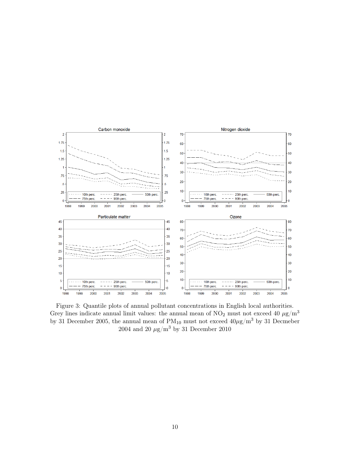

Figure 3: Quantile plots of annual pollutant concentrations in English local authorities. Grey lines indicate annual limit values: the annual mean of  $NO<sub>2</sub>$  must not exceed 40  $\mu$ g/m<sup>3</sup> by 31 December 2005, the annual mean of  $PM_{10}$  must not exceed  $40\mu g/m^3$  by 31 Decmeber 2004 and 20  $\mu$ g/m<sup>3</sup> by 31 December 2010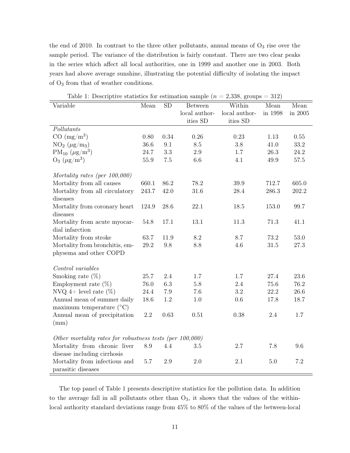the end of 2010. In contrast to the three other pollutants, annual means of  $O_3$  rise over the sample period. The variance of the distribution is fairly constant. There are two clear peaks in the series which affect all local authorities, one in 1999 and another one in 2003. Both years had above average sunshine, illustrating the potential difficulty of isolating the impact of O<sup>3</sup> from that of weather conditions.

| Variable                                                 | Mean     | SD      | <b>Between</b> | Within        | Mean     | Mean     |
|----------------------------------------------------------|----------|---------|----------------|---------------|----------|----------|
|                                                          |          |         | local author-  | local author- | in 1998  | in 2005  |
|                                                          |          |         | ities SD       | ities SD      |          |          |
| Pollutants                                               |          |         |                |               |          |          |
| $CO \ (mg/m^3)$                                          | 0.80     | 0.34    | 0.26           | 0.23          | 1.13     | 0.55     |
| $NO_2$ ( $\mu$ g/m <sub>3</sub> )                        | 36.6     | 9.1     | 8.5            | 3.8           | 41.0     | $33.2\,$ |
| $PM_{10} (\mu g/m^3)$                                    | 24.7     | 3.3     | 2.9            | 1.7           | 26.3     | 24.2     |
| $O_3~(\mu g/m^3)$                                        | $55.9\,$ | $7.5\,$ | 6.6            | 4.1           | 49.9     | $57.5\,$ |
|                                                          |          |         |                |               |          |          |
| Mortality rates (per 100,000)                            |          |         |                |               |          |          |
| Mortality from all causes                                | 660.1    | 86.2    | 78.2           | 39.9          | 712.7    | 605.0    |
| Mortality from all circulatory                           | 243.7    | 42.0    | 31.6           | 28.4          | 286.3    | 202.2    |
| diseases                                                 |          |         |                |               |          |          |
| Mortality from coronary heart                            | 124.9    | 28.6    | $22.1\,$       | 18.5          | 153.0    | 99.7     |
| diseases                                                 |          |         |                |               |          |          |
| Mortality from acute myocar-                             | 54.8     | 17.1    | 13.1           | 11.3          | 71.3     | 41.1     |
| dial infarction                                          |          |         |                |               |          |          |
| Mortality from stroke                                    | 63.7     | 11.9    | $8.2\,$        | 8.7           | $73.2\,$ | $53.0\,$ |
| Mortality from bronchitis, em-                           | 29.2     | 9.8     | 8.8            | 4.6           | 31.5     | $27.3\,$ |
| physema and other COPD                                   |          |         |                |               |          |          |
|                                                          |          |         |                |               |          |          |
| Control variables                                        |          |         |                |               |          |          |
| Smoking rate $(\%)$                                      | 25.7     | 2.4     | 1.7            | 1.7           | 27.4     | $23.6\,$ |
| Employment rate $(\%)$                                   | 76.0     | 6.3     | 5.8            | 2.4           | 75.6     | 76.2     |
| NVQ 4+ level rate $(\%)$                                 | $24.4\,$ | $7.9\,$ | 7.6            | 3.2           | 22.2     | $26.6\,$ |
| Annual mean of summer daily                              | 18.6     | 1.2     | 1.0            | 0.6           | 17.8     | 18.7     |
| maximum temperature $({}^{\circ}C)$                      |          |         |                |               |          |          |
| Annual mean of precipitation                             | $2.2\,$  | 0.63    | 0.51           | 0.38          | 2.4      | 1.7      |
| (mm)                                                     |          |         |                |               |          |          |
|                                                          |          |         |                |               |          |          |
| Other mortality rates for robustness tests (per 100,000) |          |         |                |               |          |          |
| Mortality from chronic liver                             | 8.9      | 4.4     | $3.5\,$        | 2.7           | 7.8      | 9.6      |
| disease including cirrhosis                              |          |         |                |               |          |          |
| Mortality from infectious and                            | 5.7      | $2.9\,$ | 2.0            | 2.1           | 5.0      | 7.2      |
| parasitic diseases                                       |          |         |                |               |          |          |

Table 1: Descriptive statistics for estimation sample  $(n = 2,338, \text{ groups} = 312)$ 

The top panel of Table 1 presents descriptive statistics for the pollution data. In addition to the average fall in all pollutants other than  $O_3$ , it shows that the values of the withinlocal authority standard deviations range from 45% to 80% of the values of the between-local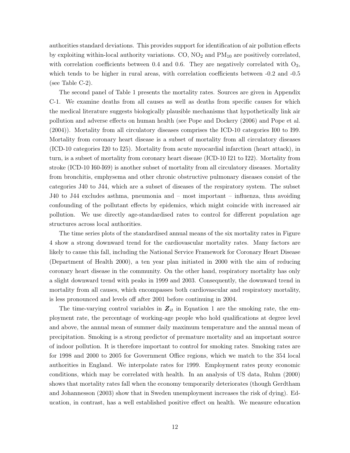authorities standard deviations. This provides support for identification of air pollution effects by exploiting within-local authority variations. CO,  $NO<sub>2</sub>$  and  $PM<sub>10</sub>$  are positively correlated, with correlation coefficients between 0.4 and 0.6. They are negatively correlated with  $O_3$ , which tends to be higher in rural areas, with correlation coefficients between -0.2 and -0.5 (see Table C-2).

The second panel of Table 1 presents the mortality rates. Sources are given in Appendix C-1. We examine deaths from all causes as well as deaths from specific causes for which the medical literature suggests biologically plausible mechanisms that hypothetically link air pollution and adverse effects on human health (see Pope and Dockery (2006) and Pope et al. (2004)). Mortality from all circulatory diseases comprises the ICD-10 categories I00 to I99. Mortality from coronary heart disease is a subset of mortality from all circulatory diseases (ICD-10 categories I20 to I25). Mortality from acute myocardial infarction (heart attack), in turn, is a subset of mortality from coronary heart disease (ICD-10 I21 to I22). Mortality from stroke (ICD-10 I60-I69) is another subset of mortality from all circulatory diseases. Mortality from bronchitis, emphysema and other chronic obstructive pulmonary diseases consist of the categories J40 to J44, which are a subset of diseases of the respiratory system. The subset J40 to J44 excludes asthma, pneumonia and – most important – influenza, thus avoiding confounding of the pollutant effects by epidemics, which might coincide with increased air pollution. We use directly age-standardised rates to control for different population age structures across local authorities.

The time series plots of the standardised annual means of the six mortality rates in Figure 4 show a strong downward trend for the cardiovascular mortality rates. Many factors are likely to cause this fall, including the National Service Framework for Coronary Heart Disease (Department of Health 2000), a ten year plan initiated in 2000 with the aim of reducing coronary heart disease in the community. On the other hand, respiratory mortality has only a slight downward trend with peaks in 1999 and 2003. Consequently, the downward trend in mortality from all causes, which encompasses both cardiovascular and respiratory mortality, is less pronounced and levels off after 2001 before continuing in 2004.

The time-varying control variables in  $Z_{it}$  in Equation 1 are the smoking rate, the employment rate, the percentage of working-age people who hold qualifications at degree level and above, the annual mean of summer daily maximum temperature and the annual mean of precipitation. Smoking is a strong predictor of premature mortality and an important source of indoor pollution. It is therefore important to control for smoking rates. Smoking rates are for 1998 and 2000 to 2005 for Government Office regions, which we match to the 354 local authorities in England. We interpolate rates for 1999. Employment rates proxy economic conditions, which may be correlated with health. In an analysis of US data, Ruhm (2000) shows that mortality rates fall when the economy temporarily deteriorates (though Gerdtham and Johannesson (2003) show that in Sweden unemployment increases the risk of dying). Education, in contrast, has a well established positive effect on health. We measure education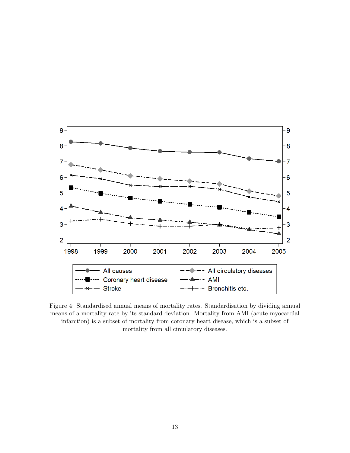

Figure 4: Standardised annual means of mortality rates. Standardisation by dividing annual means of a mortality rate by its standard deviation. Mortality from AMI (acute myocardial infarction) is a subset of mortality from coronary heart disease, which is a subset of mortality from all circulatory diseases.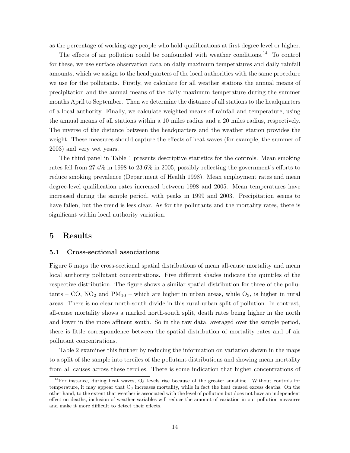as the percentage of working-age people who hold qualifications at first degree level or higher.

The effects of air pollution could be confounded with weather conditions.<sup>14</sup> To control for these, we use surface observation data on daily maximum temperatures and daily rainfall amounts, which we assign to the headquarters of the local authorities with the same procedure we use for the pollutants. Firstly, we calculate for all weather stations the annual means of precipitation and the annual means of the daily maximum temperature during the summer months April to September. Then we determine the distance of all stations to the headquarters of a local authority. Finally, we calculate weighted means of rainfall and temperature, using the annual means of all stations within a 10 miles radius and a 20 miles radius, respectively. The inverse of the distance between the headquarters and the weather station provides the weight. These measures should capture the effects of heat waves (for example, the summer of 2003) and very wet years.

The third panel in Table 1 presents descriptive statistics for the controls. Mean smoking rates fell from 27.4% in 1998 to 23.6% in 2005, possibly reflecting the government's efforts to reduce smoking prevalence (Department of Health 1998). Mean employment rates and mean degree-level qualification rates increased between 1998 and 2005. Mean temperatures have increased during the sample period, with peaks in 1999 and 2003. Precipitation seems to have fallen, but the trend is less clear. As for the pollutants and the mortality rates, there is significant within local authority variation.

### 5 Results

#### 5.1 Cross-sectional associations

Figure 5 maps the cross-sectional spatial distributions of mean all-cause mortality and mean local authority pollutant concentrations. Five different shades indicate the quintiles of the respective distribution. The figure shows a similar spatial distribution for three of the pollutants – CO,  $NO<sub>2</sub>$  and  $PM<sub>10</sub>$  – which are higher in urban areas, while  $O<sub>3</sub>$ , is higher in rural areas. There is no clear north-south divide in this rural-urban split of pollution. In contrast, all-cause mortality shows a marked north-south split, death rates being higher in the north and lower in the more affluent south. So in the raw data, averaged over the sample period, there is little correspondence between the spatial distribution of mortality rates and of air pollutant concentrations.

Table 2 examines this further by reducing the information on variation shown in the maps to a split of the sample into terciles of the pollutant distributions and showing mean mortality from all causes across these terciles. There is some indication that higher concentrations of

 $14$ For instance, during heat waves,  $O_3$  levels rise because of the greater sunshine. Without controls for temperature, it may appear that  $O_3$  increases mortality, while in fact the heat caused excess deaths. On the other hand, to the extent that weather is associated with the level of pollution but does not have an independent effect on deaths, inclusion of weather variables will reduce the amount of variation in our pollution measures and make it more difficult to detect their effects.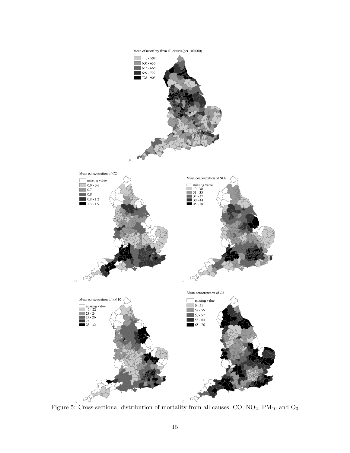

Figure 5: Cross-sectional distribution of mortality from all causes, CO, NO<sub>2</sub>, PM<sub>10</sub> and O<sub>3</sub>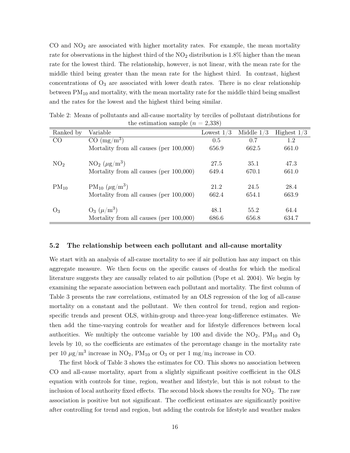CO and  $NO<sub>2</sub>$  are associated with higher mortality rates. For example, the mean mortality rate for observations in the highest third of the  $NO<sub>2</sub>$  distribution is 1.8% higher than the mean rate for the lowest third. The relationship, however, is not linear, with the mean rate for the middle third being greater than the mean rate for the highest third. In contrast, highest concentrations of  $O_3$  are associated with lower death rates. There is no clear relationship between  $PM_{10}$  and mortality, with the mean mortality rate for the middle third being smallest and the rates for the lowest and the highest third being similar.

| Ranked by       | Variable                                | Lowest $1/3$ | Middle $1/3$ | Highest $1/3$ |
|-----------------|-----------------------------------------|--------------|--------------|---------------|
| CO              | $CO \ (mg/m^3)$                         | 0.5          | 0.7          | 1.2           |
|                 | Mortality from all causes (per 100,000) | 656.9        | 662.5        | 661.0         |
| NO <sub>2</sub> | $NO_2~(\mu g/m^3)$                      | 27.5         | 35.1         | 47.3          |
|                 | Mortality from all causes (per 100,000) | 649.4        | 670.1        | 661.0         |
| $PM_{10}$       | $PM_{10} (\mu g/m^3)$                   | 21.2         | 24.5         | 28.4          |
|                 | Mortality from all causes (per 100,000) | 662.4        | 654.1        | 663.9         |
| $O_3$           | $O_3~(\mu/m^3)$                         | 48.1         | 55.2         | 64.4          |
|                 | Mortality from all causes (per 100,000) | 686.6        | 656.8        | 634.7         |

Table 2: Means of pollutants and all-cause mortality by terciles of pollutant distributions for the estimation sample  $(n = 2,338)$ 

#### 5.2 The relationship between each pollutant and all-cause mortality

We start with an analysis of all-cause mortality to see if air pollution has any impact on this aggregate measure. We then focus on the specific causes of deaths for which the medical literature suggests they are causally related to air pollution (Pope et al. 2004). We begin by examining the separate association between each pollutant and mortality. The first column of Table 3 presents the raw correlations, estimated by an OLS regression of the log of all-cause mortality on a constant and the pollutant. We then control for trend, region and regionspecific trends and present OLS, within-group and three-year long-difference estimates. We then add the time-varying controls for weather and for lifestyle differences between local authorities. We multiply the outcome variable by 100 and divide the  $NO_2$ ,  $PM_{10}$  and  $O_3$ levels by 10, so the coefficients are estimates of the percentage change in the mortality rate per 10  $\mu$ g/m<sup>3</sup> increase in NO<sub>2</sub>, PM<sub>10</sub> or O<sub>3</sub> or per 1 mg/m<sub>3</sub> increase in CO.

The first block of Table 3 shows the estimates for CO. This shows no association between CO and all-cause mortality, apart from a slightly significant positive coefficient in the OLS equation with controls for time, region, weather and lifestyle, but this is not robust to the inclusion of local authority fixed effects. The second block shows the results for  $NO_2$ . The raw association is positive but not significant. The coefficient estimates are significantly positive after controlling for trend and region, but adding the controls for lifestyle and weather makes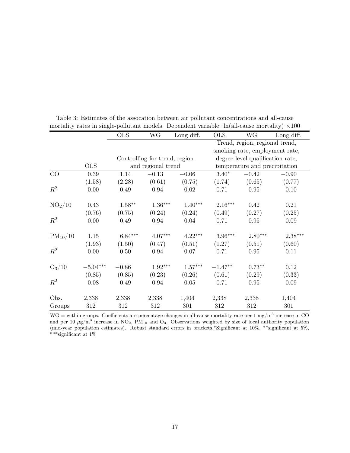|                     |                        | <b>OLS</b>        | WG                            | Long diff. | <b>OLS</b> | WG                               | Long diff. |
|---------------------|------------------------|-------------------|-------------------------------|------------|------------|----------------------------------|------------|
|                     |                        |                   |                               |            |            | Trend, region, regional trend,   |            |
|                     |                        |                   |                               |            |            | smoking rate, employment rate,   |            |
|                     |                        |                   | Controlling for trend, region |            |            | degree level qualification rate, |            |
|                     | <b>OLS</b>             |                   | and regional trend            |            |            | temperature and precipitation    |            |
| CO                  | 0.39                   | 1.14              | $-0.13$                       | $-0.06$    | $3.40*$    | $-0.42$                          | $-0.90$    |
|                     | (1.58)                 | (2.28)            | (0.61)                        | (0.75)     | (1.74)     | (0.65)                           | (0.77)     |
| $R^2$               | 0.00                   | 0.49              | 0.94                          | 0.02       | 0.71       | $0.95\,$                         | 0.10       |
| NO <sub>2</sub> /10 | 0.43                   | $1.58^{\ast\ast}$ | $1.36***$                     | $1.40***$  | $2.16***$  | 0.42                             | 0.21       |
|                     | (0.76)                 | (0.75)            | (0.24)                        | (0.24)     | (0.49)     | (0.27)                           | (0.25)     |
| $R^2$               | 0.00                   | 0.49              | 0.94                          | 0.04       | 0.71       | $0.95\,$                         | 0.09       |
| $PM_{10}/10$        | 1.15                   | $6.84***$         | $4.07***$                     | $4.22***$  | $3.96***$  | $2.80***$                        | $2.38***$  |
|                     | (1.93)                 | (1.50)            | (0.47)                        | (0.51)     | (1.27)     | (0.51)                           | (0.60)     |
| $R^2$               | 0.00                   | 0.50              | 0.94                          | 0.07       | 0.71       | 0.95                             | 0.11       |
| $O_3/10$            | $-5.04^{\ast\ast\ast}$ | $-0.86$           | $1.92***$                     | $1.57***$  | $-1.47**$  | $0.73**$                         | 0.12       |
|                     | (0.85)                 | (0.85)            | (0.23)                        | (0.26)     | (0.61)     | (0.29)                           | (0.33)     |
| $R^2$               | 0.08                   | 0.49              | 0.94                          | 0.05       | 0.71       | 0.95                             | 0.09       |
| Obs.                | 2,338                  | 2,338             | 2,338                         | 1,404      | 2,338      | 2,338                            | 1,404      |
| Groups              | 312                    | 312               | 312                           | 301        | 312        | 312                              | 301        |

Table 3: Estimates of the assocation between air pollutant concentrations and all-cause mortality rates in single-pollutant models. Dependent variable:  $ln(all\text{-}cause\ mortality) \times 100$ 

 $WG =$  within groups. Coefficients are percentage changes in all-cause mortality rate per 1 mg/m<sup>3</sup> increase in CO and per 10  $\mu$ g/m<sup>3</sup> increase in NO<sub>2</sub>, PM<sub>10</sub> and O<sub>3</sub>. Observations weighted by size of local authority population (mid-year population estimates). Robust standard errors in brackets.\*Significant at 10%, \*\*significant at 5%, \*\*\*significant at 1%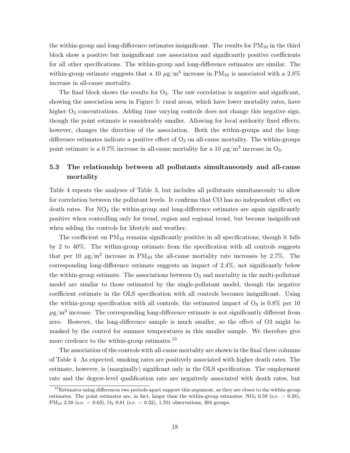the within-group and long-difference estimates insignificant. The results for  $PM_{10}$  in the third block show a positive but insignificant raw association and significantly positive coefficients for all other specifications. The within-group and long-difference estimates are similar. The within-group estimate suggests that a 10  $\mu$ g/m<sup>3</sup> increase in PM<sub>10</sub> is associated with a 2.8% increase in all-cause mortality.

The final block shows the results for  $O_3$ . The raw correlation is negative and significant, showing the association seen in Figure 5: rural areas, which have lower mortality rates, have higher O<sub>3</sub> concentrations. Adding time varying controls does not change this negative sign, though the point estimate is considerably smaller. Allowing for local authority fixed effects, however, changes the direction of the association. Both the within-groups and the longdifference estimates indicate a positive effect of  $O_3$  on all-cause mortality. The within-groups point estimate is a 0.7% increase in all-cause mortality for a 10  $\mu$ g/m<sup>3</sup> increase in O<sub>3</sub>.

### 5.3 The relationship between all pollutants simultaneously and all-cause mortality

Table 4 repeats the analyses of Table 3, but includes all pollutants simultaneously to allow for correlation between the pollutant levels. It confirms that CO has no independent effect on death rates. For  $NO<sub>2</sub>$  the within-group and long-difference estimates are again significantly positive when controlling only for trend, region and regional trend, but become insignificant when adding the controls for lifestyle and weather.

The coefficient on  $PM_{10}$  remains significantly positive in all specifications, though it falls by 2 to 40%. The within-group estimate from the specification with all controls suggests that per 10  $\mu$ g/m<sup>3</sup> increase in PM<sub>10</sub> the all-cause mortality rate increases by 2.7%. The corresponding long-difference estimate suggests an impact of 2.4%, not significantly below the within-group estimate. The associations between  $O_3$  and mortality in the multi-pollutant model are similar to those estimated by the single-pollutant model, though the negative coefficient estimate in the OLS specification with all controls becomes insignificant. Using the within-group specification with all controls, the estimated impact of  $O_3$  is 0.8% per 10  $\mu$ g/m<sup>3</sup> increase. The corresponding long-difference estimate is not significantly different from zero. However, the long-difference sample is much smaller, so the effect of O3 might be masked by the control for summer temperatures in this smaller sample. We therefore give more credence to the within-group estimates.<sup>15</sup>

The association of the controls with all-cause mortality are shown in the final three columns of Table 4. As expected, smoking rates are positively associated with higher death rates. The estimate, however, is (marginally) significant only in the OLS specification. The employment rate and the degree-level qualification rate are negatively associated with death rates, but

<sup>&</sup>lt;sup>15</sup>Estimates using differences two periods apart support this argument, as they are closer to the within-group estimates. The point estimates are, in fact, larger than the within-group estimates:  $NO<sub>2</sub> 0.59$  (s.e.  $= 0.28$ ), PM<sub>10</sub> 2.50 (s.e. = 0.63), O<sub>3</sub> 0.81 (s.e. = 0.32), 1,701 observations, 304 groups.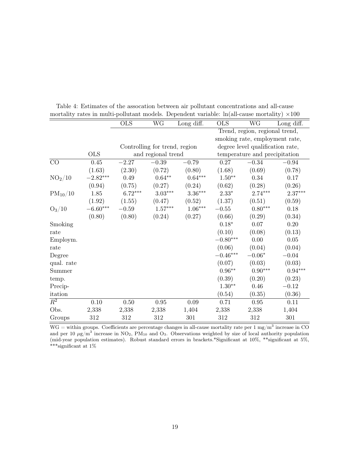|                     |            | <b>OLS</b> | WG                            | Long diff.            | <b>OLS</b> | WG                               | Long diff. |
|---------------------|------------|------------|-------------------------------|-----------------------|------------|----------------------------------|------------|
|                     |            |            |                               |                       |            | Trend, region, regional trend,   |            |
|                     |            |            |                               |                       |            | smoking rate, employment rate,   |            |
|                     |            |            | Controlling for trend, region |                       |            | degree level qualification rate, |            |
|                     | <b>OLS</b> |            | and regional trend            |                       |            | temperature and precipitation    |            |
| $\overline{CO}$     | 0.45       | $-2.27$    | $-0.39$                       | $-0.79$               | 0.27       | $-0.34$                          | $-0.94$    |
|                     | (1.63)     | (2.30)     | (0.72)                        | (0.80)                | (1.68)     | (0.69)                           | (0.78)     |
| NO <sub>2</sub> /10 | $-2.82***$ | 0.49       | $0.64**$                      | $0.64***$             | $1.50**$   | 0.34                             | 0.17       |
|                     | (0.94)     | (0.75)     | (0.27)                        | (0.24)                | (0.62)     | (0.28)                           | (0.26)     |
| $PM_{10}/10$        | 1.85       | $6.72***$  | $3.03***$                     | $3.36^{\ast\ast\ast}$ | $2.33*$    | $2.74***$                        | $2.37***$  |
|                     | (1.92)     | (1.55)     | (0.47)                        | (0.52)                | (1.37)     | (0.51)                           | (0.59)     |
| $O_3/10$            | $-6.60***$ | $-0.59$    | $1.57***$                     | $1.06***$             | $-0.55$    | $0.80***$                        | 0.18       |
|                     | (0.80)     | (0.80)     | (0.24)                        | (0.27)                | (0.66)     | (0.29)                           | (0.34)     |
| Smoking             |            |            |                               |                       | $0.18*$    | $0.07\,$                         | 0.20       |
| rate                |            |            |                               |                       | (0.10)     | (0.08)                           | (0.13)     |
| Employm.            |            |            |                               |                       | $-0.80***$ | 0.00                             | $0.05\,$   |
| rate                |            |            |                               |                       | (0.06)     | (0.04)                           | (0.04)     |
| Degree              |            |            |                               |                       | $-0.46***$ | $-0.06*$                         | $-0.04$    |
| qual. rate          |            |            |                               |                       | (0.07)     | (0.03)                           | (0.03)     |
| Summer              |            |            |                               |                       | $0.96**$   | $0.90^{\ast\ast\ast}$            | $0.94***$  |
| temp.               |            |            |                               |                       | (0.39)     | (0.20)                           | (0.23)     |
| Precip-             |            |            |                               |                       | $1.30**$   | 0.46                             | $-0.12$    |
| itation             |            |            |                               |                       | (0.54)     | (0.35)                           | (0.36)     |
| $\overline{R^2}$    | 0.10       | 0.50       | 0.95                          | 0.09                  | 0.71       | $0.95\,$                         | 0.11       |
| Obs.                | 2,338      | 2,338      | 2,338                         | 1,404                 | 2,338      | 2,338                            | 1,404      |
| Groups              | 312        | 312        | 312                           | 301                   | 312        | 312                              | 301        |

Table 4: Estimates of the assocation between air pollutant concentrations and all-cause mortality rates in multi-pollutant models. Dependent variable:  $ln(all\text{-}cause\ mortality) \times 100$ 

 $WG =$  within groups. Coefficients are percentage changes in all-cause mortality rate per 1 mg/m<sup>3</sup> increase in CO and per 10  $\mu$ g/m<sup>3</sup> increase in NO<sub>2</sub>, PM<sub>10</sub> and O<sub>3</sub>. Observations weighted by size of local authority population (mid-year population estimates). Robust standard errors in brackets.\*Significant at 10%, \*\*significant at 5%,  $^{***}$  significant at  $1\%$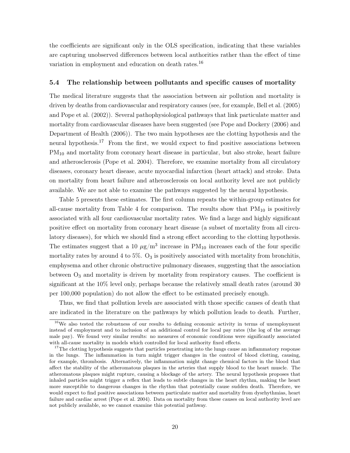the coefficients are significant only in the OLS specification, indicating that these variables are capturing unobserved differences between local authorities rather than the effect of time variation in employment and education on death rates.<sup>16</sup>

#### 5.4 The relationship between pollutants and specific causes of mortality

The medical literature suggests that the association between air pollution and mortality is driven by deaths from cardiovascular and respiratory causes (see, for example, Bell et al. (2005) and Pope et al. (2002)). Several pathophysiological pathways that link particulate matter and mortality from cardiovascular diseases have been suggested (see Pope and Dockery (2006) and Department of Health (2006)). The two main hypotheses are the clotting hypothesis and the neural hypothesis.<sup>17</sup> From the first, we would expect to find positive associations between PM<sup>10</sup> and mortality from coronary heart disease in particular, but also stroke, heart failure and atherosclerosis (Pope et al. 2004). Therefore, we examine mortality from all circulatory diseases, coronary heart disease, acute myocardial infarction (heart attack) and stroke. Data on mortality from heart failure and atherosclerosis on local authority level are not publicly available. We are not able to examine the pathways suggested by the neural hypothesis.

Table 5 presents these estimates. The first column repeats the within-group estimates for all-cause mortality from Table 4 for comparison. The results show that  $PM_{10}$  is positively associated with all four cardiovascular mortality rates. We find a large and highly significant positive effect on mortality from coronary heart disease (a subset of mortality from all circulatory diseases), for which we should find a strong effect according to the clotting hypothesis. The estimates suggest that a 10  $\mu$ g/m<sup>3</sup> increase in PM<sub>10</sub> increases each of the four specific mortality rates by around 4 to 5%.  $O_3$  is positively associated with mortality from bronchitis, emphysema and other chronic obstructive pulmonary diseases, suggesting that the association between  $O_3$  and mortality is driven by mortality from respiratory causes. The coefficient is significant at the 10% level only, perhaps because the relatively small death rates (around 30 per 100,000 population) do not allow the effect to be estimated precisely enough.

Thus, we find that pollution levels are associated with those specific causes of death that are indicated in the literature on the pathways by which pollution leads to death. Further,

 $16\text{We also tested the robustness of our results to defining economic activity in terms of un employment.}$ instead of employment and to inclusion of an additional control for local pay rates (the log of the average male pay). We found very similar results: no measures of economic conditions were significantly associated with all-cause mortality in models which controlled for local authority fixed effects.

<sup>&</sup>lt;sup>17</sup>The clotting hypothesis suggests that particles penetrating into the lungs cause an inflammatory response in the lungs. The inflammation in turn might trigger changes in the control of blood clotting, causing, for example, thrombosis. Alternatively, the inflammation might change chemical factors in the blood that affect the stability of the atheromatous plaques in the arteries that supply blood to the heart muscle. The atheromatous plaques might rupture, causing a blockage of the artery. The neural hypothesis proposes that inhaled particles might trigger a reflex that leads to subtle changes in the heart rhythm, making the heart more susceptible to dangerous changes in the rhythm that potentially cause sudden death. Therefore, we would expect to find positive associations between particulate matter and mortality from dysrhythmias, heart failure and cardiac arrest (Pope et al. 2004). Data on mortality from these causes on local authority level are not publicly available, so we cannot examine this potential pathway.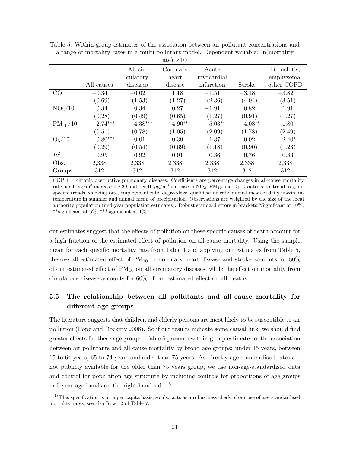|                     |            |           | 1000/11100 |            |          |             |
|---------------------|------------|-----------|------------|------------|----------|-------------|
|                     |            | All cir-  | Coronary   | Acute      |          | Bronchitis, |
|                     |            | culatory  | heart      | myocardial |          | emphysema,  |
|                     | All causes | diseases  | disease    | infarction | Stroke   | other COPD  |
| CO                  | $-0.34$    | $-0.02$   | 1.18       | $-1.51$    | $-3.18$  | $-3.82$     |
|                     | (0.69)     | (1.53)    | (1.27)     | (2.36)     | (4.04)   | (3.51)      |
| NO <sub>2</sub> /10 | 0.34       | 0.34      | 0.27       | $-1.91$    | 0.82     | 1.91        |
|                     | (0.28)     | (0.49)    | (0.65)     | (1.27)     | (0.91)   | (1.27)      |
| $PM_{10}/10$        | $2.74***$  | $4.38***$ | $4.90***$  | $5.03**$   | $4.08**$ | 1.80        |
|                     | (0.51)     | (0.78)    | (1.05)     | (2.09)     | (1.78)   | (2.49)      |
| $O_3/10$            | $0.80***$  | $-0.01$   | $-0.39$    | $-1.37$    | 0.02     | $2.40*$     |
|                     | (0.29)     | (0.54)    | (0.69)     | (1.18)     | (0.90)   | (1.23)      |
| $\overline{R^2}$    | 0.95       | 0.92      | 0.91       | 0.86       | 0.76     | 0.83        |
| Obs.                | 2,338      | 2,338     | 2,338      | 2,338      | 2,338    | 2,338       |
| Groups              | 312        | 312       | 312        | 312        | 312      | 312         |

Table 5: Within-group estimates of the associaton between air pollutant concentrations and a range of mortality rates in a multi-pollutant model. Dependent variable: ln(mortality rate)  $\times 100$ 

 $COPD =$  chronic obstructive pulmonary diseases. Coefficients are percentage changes in all-cause mortality rate per 1 mg/m<sup>3</sup> increase in CO and per 10  $\mu$ g/m<sup>3</sup> increase in NO<sub>2</sub>, PM<sub>10</sub> and O<sub>3</sub>. Controls are trend, regionspecific trends, smoking rate, employment rate, degree-level qualification rate, annual mean of daily maximum temperature in summer and annual mean of precipitation. Observations are weighted by the size of the local authority population (mid-year population estimates). Robust standard errors in brackets.\*Significant at 10%, \*\*significant at 5%, \*\*\*significant at 1%

our estimates suggest that the effects of pollution on these specific causes of death account for a high fraction of the estimated effect of pollution on all-cause mortality. Using the sample mean for each specific mortality rate from Table 1 and applying our estimates from Table 5, the overall estimated effect of  $PM_{10}$  on coronary heart disease and stroke accounts for 80% of our estimated effect of  $PM_{10}$  on all circulatory diseases, while the effect on mortality from circulatory disease accounts for 60% of our estimated effect on all deaths.

### 5.5 The relationship between all pollutants and all-cause mortality for different age groups

The literature suggests that children and elderly persons are most likely to be susceptible to air pollution (Pope and Dockery 2006). So if our results indicate some causal link, we should find greater effects for these age groups. Table 6 presents within-group estimates of the association between air pollutants and all-cause mortality by broad age groups: under 15 years, between 15 to 64 years, 65 to 74 years and older than 75 years. As directly age-standardised rates are not publicly available for the older than 75 years group, we use non-age-standardised data and control for population age structure by including controls for proportions of age groups in 5-year age bands on the right-hand side.<sup>18</sup>

<sup>&</sup>lt;sup>18</sup>This specification is on a per capita basis, so also acts as a robustness check of our use of age-standardised mortality rates; see also Row 12 of Table 7.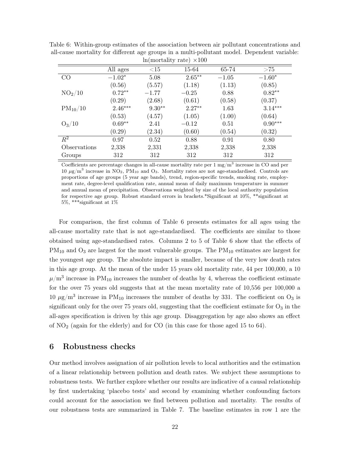|              |           |          | $\mu$ / $\mu$ $\sigma$ $\mu$ $\sigma$ $\mu$ $\sigma$ $\sigma$ $\sigma$ $\sigma$ $\sigma$ $\sigma$ $\sigma$ |         |           |
|--------------|-----------|----------|------------------------------------------------------------------------------------------------------------|---------|-----------|
|              | All ages  | ${<}15$  | 15-64                                                                                                      | 65-74   | >75       |
| CO           | $-1.02*$  | 5.08     | $2.65***$                                                                                                  | $-1.05$ | $-1.60*$  |
|              | (0.56)    | (5.57)   | (1.18)                                                                                                     | (1.13)  | (0.85)    |
| $NO_2/10$    | $0.72**$  | $-1.77$  | $-0.25$                                                                                                    | 0.88    | $0.82**$  |
|              | (0.29)    | (2.68)   | (0.61)                                                                                                     | (0.58)  | (0.37)    |
| $PM_{10}/10$ | $2.46***$ | $9.30**$ | $2.27**$                                                                                                   | 1.63    | $3.14***$ |
|              | (0.53)    | (4.57)   | (1.05)                                                                                                     | (1.00)  | (0.64)    |
| $O_3/10$     | $0.69**$  | 2.41     | $-0.12$                                                                                                    | 0.51    | $0.90***$ |
|              | (0.29)    | (2.34)   | (0.60)                                                                                                     | (0.54)  | (0.32)    |
| $\,R^2$      | 0.97      | 0.52     | 0.88                                                                                                       | 0.91    | 0.80      |
| Observations | 2,338     | 2,331    | 2,338                                                                                                      | 2,338   | 2,338     |
| Groups       | 312       | 312      | 312                                                                                                        | 312     | 312       |

Table 6: Within-group estimates of the association between air pollutant concentrations and all-cause mortality for different age groups in a multi-pollutant model. Dependent variable:  $ln(mortality rate) \times 100$ 

Coefficients are percentage changes in all-cause mortality rate per  $1 \text{ mg/m}^3$  increase in CO and per 10  $\mu$ g/m<sup>3</sup> increase in NO<sub>2</sub>, PM<sub>10</sub> and O<sub>3</sub>. Mortality rates are not age-standardised. Controls are proportions of age groups (5 year age bands), trend, region-specific trends, smoking rate, employment rate, degree-level qualification rate, annual mean of daily maximum temperature in summer and annual mean of precipitation. Observations weighted by size of the local authority population for respective age group. Robust standard errors in brackets.\*Significant at 10%, \*\*significant at 5%, \*\*\*significant at 1%

For comparison, the first column of Table 6 presents estimates for all ages using the all-cause mortality rate that is not age-standardised. The coefficients are similar to those obtained using age-standardised rates. Columns 2 to 5 of Table 6 show that the effects of  $PM_{10}$  and  $O_3$  are largest for the most vulnerable groups. The  $PM_{10}$  estimates are largest for the youngest age group. The absolute impact is smaller, because of the very low death rates in this age group. At the mean of the under 15 years old mortality rate, 44 per 100,000, a 10  $\mu/m^3$  increase in PM<sub>10</sub> increases the number of deaths by 4, whereas the coefficient estimate for the over 75 years old suggests that at the mean mortality rate of 10,556 per 100,000 a 10  $\mu$ g/m<sup>3</sup> increase in PM<sub>10</sub> increases the number of deaths by 331. The coefficient on O<sub>3</sub> is significant only for the over 75 years old, suggesting that the coefficient estimate for  $O_3$  in the all-ages specification is driven by this age group. Disaggregation by age also shows an effect of  $NO<sub>2</sub>$  (again for the elderly) and for CO (in this case for those aged 15 to 64).

#### 6 Robustness checks

Our method involves assignation of air pollution levels to local authorities and the estimation of a linear relationship between pollution and death rates. We subject these assumptions to robustness tests. We further explore whether our results are indicative of a causal relationship by first undertaking 'placebo tests' and second by examining whether confounding factors could account for the association we find between pollution and mortality. The results of our robustness tests are summarized in Table 7. The baseline estimates in row 1 are the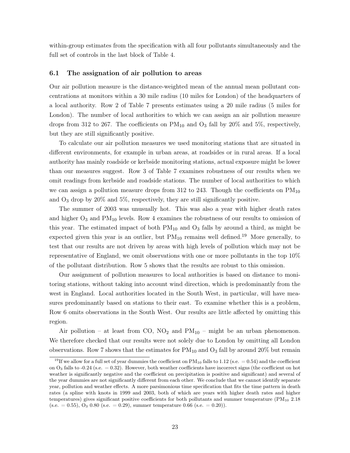within-group estimates from the specification with all four pollutants simultaneously and the full set of controls in the last block of Table 4.

#### 6.1 The assignation of air pollution to areas

Our air pollution measure is the distance-weighted mean of the annual mean pollutant concentrations at monitors within a 30 mile radius (10 miles for London) of the headquarters of a local authority. Row 2 of Table 7 presents estimates using a 20 mile radius (5 miles for London). The number of local authorities to which we can assign an air pollution measure drops from 312 to 267. The coefficients on  $PM_{10}$  and  $O_3$  fall by 20% and 5%, respectively, but they are still significantly positive.

To calculate our air pollution measures we used monitoring stations that are situated in different environments, for example in urban areas, at roadsides or in rural areas. If a local authority has mainly roadside or kerbside monitoring stations, actual exposure might be lower than our measures suggest. Row 3 of Table 7 examines robustness of our results when we omit readings from kerbside and roadside stations. The number of local authorities to which we can assign a pollution measure drops from 312 to 243. Though the coefficients on  $PM_{10}$ and  $O_3$  drop by 20% and 5%, respectively, they are still significantly positive.

The summer of 2003 was unusually hot. This was also a year with higher death rates and higher  $O_3$  and  $PM_{10}$  levels. Row 4 examines the robustness of our results to omission of this year. The estimated impact of both  $PM_{10}$  and  $O_3$  falls by around a third, as might be expected given this year is an outlier, but  $PM_{10}$  remains well defined.<sup>19</sup> More generally, to test that our results are not driven by areas with high levels of pollution which may not be representative of England, we omit observations with one or more pollutants in the top 10% of the pollutant distribution. Row 5 shows that the results are robust to this omission.

Our assignment of pollution measures to local authorities is based on distance to monitoring stations, without taking into account wind direction, which is predominantly from the west in England. Local authorities located in the South West, in particular, will have measures predominantly based on stations to their east. To examine whether this is a problem, Row 6 omits observations in the South West. Our results are little affected by omitting this region.

Air pollution – at least from CO,  $NO<sub>2</sub>$  and  $PM<sub>10</sub>$  – might be an urban phenomenon. We therefore checked that our results were not solely due to London by omitting all London observations. Row 7 shows that the estimates for  $PM_{10}$  and  $O_3$  fall by around 20% but remain

<sup>&</sup>lt;sup>19</sup>If we allow for a full set of year dummies the coefficient on  $PM_{10}$  falls to 1.12 (s.e. = 0.54) and the coefficient on  $O_3$  falls to  $-0.24$  (s.e.  $= 0.32$ ). However, both weather coefficients have incorrect signs (the coefficient on hot weather is significantly negative and the coefficient on precipitation is positive and significant) and several of the year dummies are not significantly different from each other. We conclude that we cannot identify separate year, pollution and weather effects. A more parsimonious time specification that fits the time pattern in death rates (a spline with knots in 1999 and 2003, both of which are years with higher death rates and higher temperatures) gives significant positive coefficients for both pollutants and summer temperature ( $PM_{10}$  2.18 (s.e.  $= 0.55$ ), O<sub>3</sub> 0.80 (s.e.  $= 0.29$ ), summer temperature 0.66 (s.e.  $= 0.20$ )).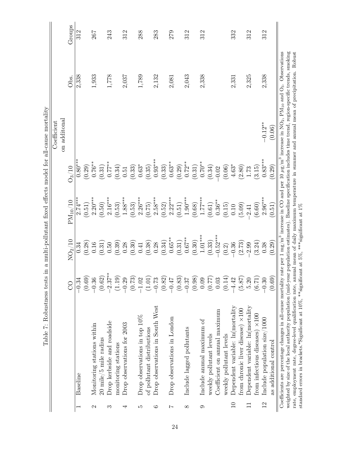|                          | Table 7: Robustness tests                                                                                                                                                                                                            | $\Xi$      |                     |                      |                   | a multi-pollutant fixed effects model for all-cause mortality |       |        |
|--------------------------|--------------------------------------------------------------------------------------------------------------------------------------------------------------------------------------------------------------------------------------|------------|---------------------|----------------------|-------------------|---------------------------------------------------------------|-------|--------|
|                          |                                                                                                                                                                                                                                      |            |                     |                      |                   | Coefficient                                                   |       |        |
|                          |                                                                                                                                                                                                                                      |            |                     |                      |                   | on additonal                                                  |       |        |
|                          |                                                                                                                                                                                                                                      | 80         | NO <sub>2</sub> /10 | $PM_{10}/10$         | $O_3/10$          |                                                               | Obs.  | Groups |
| $\overline{\phantom{0}}$ | Baseline                                                                                                                                                                                                                             | $-0.34$    | 0.34                | $2.74***$            | $0.80***$         |                                                               | 2,338 | 312    |
|                          |                                                                                                                                                                                                                                      | (0.69)     | (0.28)              | (0.51)               | (0.29)            |                                                               |       |        |
| $\mathcal{C}$            | Monitoring stations within                                                                                                                                                                                                           | $-0.36$    | $0.16\,$            | $2.20***$            | $0.76***$         |                                                               | 1,933 | 267    |
|                          | $20 \text{ mile} / 5 \text{ mile}$ radius                                                                                                                                                                                            | (0.62)     | (0.31)              | (0.50)               | (0.31)            |                                                               |       |        |
| S                        | Drop kerbside and roadside                                                                                                                                                                                                           | $-2.37***$ | $0.50\,$            | $2.16***$            | $0.77**$          |                                                               | 1,778 | 243    |
|                          | monitoring stations                                                                                                                                                                                                                  | (1.19)     | (0.39)              | (0.53)               | (0.34)            |                                                               |       |        |
| 4                        | Drop observations for 2003                                                                                                                                                                                                           | $-0.29$    | 0.28                | $1.88***$            | 0.51              |                                                               | 2,037 | 312    |
|                          |                                                                                                                                                                                                                                      | (0.73)     | (0.30)              | (0.53)               | (0.33)            |                                                               |       |        |
| Ľ                        | Drop observations in top $10\%$                                                                                                                                                                                                      | $-1.02$    | 0.41                | $2.26***$            | $0.63*$           |                                                               | 1,789 | 288    |
|                          | of pollutant distributions                                                                                                                                                                                                           | $(1.01)$   | (0.38)              | (0.75)               | (0.35)            |                                                               |       |        |
| ం                        | Drop observations in South West                                                                                                                                                                                                      | $-0.73$    | 0.28                | $2.58***$            | $0.93***$         |                                                               | 2,132 | 283    |
|                          |                                                                                                                                                                                                                                      | (0.82)     | (0.34)              | (0.52)               | (0.33)            |                                                               |       |        |
| $\sim$                   | Drop observations in London                                                                                                                                                                                                          | $-0.47$    | $0.65^{\ast\ast}$   | $2.22***$            | $0.63^{\ast\ast}$ |                                                               | 2,081 | 279    |
|                          |                                                                                                                                                                                                                                      | (0.83)     | (0.31)              | (0.51)               | (0.29)            |                                                               |       |        |
| $\infty$                 | Include lagged pollutants                                                                                                                                                                                                            | $-0.37$    | $0.67***$           | $1.90***$            | $0.72**$          |                                                               | 2,043 | 312    |
|                          |                                                                                                                                                                                                                                      | (0.98)     | (0.30)              | (0.68)               | (0.31)            |                                                               |       |        |
| ာ                        | Include annual maximum of                                                                                                                                                                                                            | 0.09       | $1.01***$           | $1.77***$            | $0.70^{**}$       |                                                               | 2,338 | 312    |
|                          | weekly pollutant levels                                                                                                                                                                                                              | (0.77)     | (0.33)              | (0.61)               | (0.34)            |                                                               |       |        |
|                          | Coefficient on annual maximum                                                                                                                                                                                                        | 0.03       | $-0.52***$          | $0.36***$            | $-0.02$           |                                                               |       |        |
|                          | weekly pollutant levels                                                                                                                                                                                                              | (0.14)     | (0.2)               | (0.15)               | (0.06)            |                                                               |       |        |
| $\Box$                   | Dependent variable: ln(mortality                                                                                                                                                                                                     | $-4.42$    | $-0.36$             | 0.10                 | $4.63*$           |                                                               | 2,331 | 332    |
|                          | from chronic liver disease) ×100                                                                                                                                                                                                     | (5.87)     | (2.73)              | (5.09)               | (2.80)            |                                                               |       |        |
| $\Box$                   | Dependent variable: ln(mortality                                                                                                                                                                                                     | 5.20       | $-2.99$             | 2.41                 | 1.73              |                                                               | 2,325 | 312    |
|                          | from infectious diseases) $\times 100$                                                                                                                                                                                               | (6.71)     | (3.24)              | (6.60)               | (3.15)            |                                                               |       |        |
| $\overline{2}$           | Include population size/1000                                                                                                                                                                                                         | $-0.30$    | 0.38                | $2.96***$            | $0.83***$         | $-0.12**$                                                     | 2,338 | 312    |
|                          | as additional control                                                                                                                                                                                                                | (0.69)     | (0.29)              | (0.51)               | (0.29)            | (0.06)                                                        |       |        |
|                          | Coefficients are percentage changes in all-cause mortality rate per 1 mg/m <sup>3</sup> increase in CO and per 10 $\mu$ g/m <sup>3</sup> increase in NO <sub>2</sub> , PM <sub>10</sub> and O <sub>3</sub> . Observations            |            |                     |                      |                   |                                                               |       |        |
|                          | weighted by size of the local authority population (mid-year population estimates). Baseline specification includes time trend, region-specific trends, smoking                                                                      |            |                     |                      |                   |                                                               |       |        |
|                          | rate, employment rate, degree-level qualification rate, annual mean of daily maximum temperature in summer and annual mean of precipitation. Robust<br>standard errors in brackets.*Significant at $10\%$ , **significant at $5\%$ , |            |                     | ***significant at 1% |                   |                                                               |       |        |

24

standard errors in brackets.\*Significant at 10%, \*\*significant at 5%, \*\*\*significant at 1%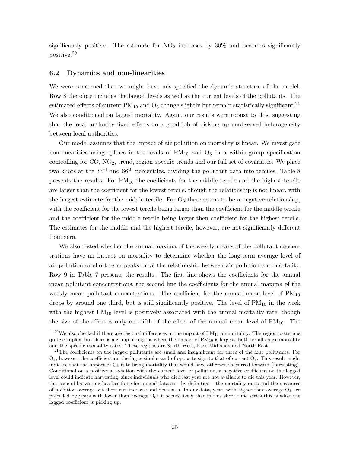significantly positive. The estimate for  $NO_2$  increases by 30% and becomes significantly positive.<sup>20</sup>

#### 6.2 Dynamics and non-linearities

We were concerned that we might have mis-specified the dynamic structure of the model. Row 8 therefore includes the lagged levels as well as the current levels of the pollutants. The estimated effects of current  $PM_{10}$  and  $O_3$  change slightly but remain statistically significant.<sup>21</sup> We also conditioned on lagged mortality. Again, our results were robust to this, suggesting that the local authority fixed effects do a good job of picking up unobserved heterogeneity between local authorities.

Our model assumes that the impact of air pollution on mortality is linear. We investigate non-linearities using splines in the levels of  $PM_{10}$  and  $O_3$  in a within-group specification controlling for  $CO$ ,  $NO<sub>2</sub>$ , trend, region-specific trends and our full set of covariates. We place two knots at the 33<sup>rd</sup> and 66<sup>th</sup> percentiles, dividing the pollutant data into terciles. Table 8 presents the results. For PM<sup>10</sup> the coefficients for the middle tercile and the highest tercile are larger than the coefficient for the lowest tercile, though the relationship is not linear, with the largest estimate for the middle tertile. For  $O_3$  there seems to be a negative relationship, with the coefficient for the lowest tercile being larger than the coefficient for the middle tercile and the coefficient for the middle tercile being larger then coefficient for the highest tercile. The estimates for the middle and the highest tercile, however, are not significantly different from zero.

We also tested whether the annual maxima of the weekly means of the pollutant concentrations have an impact on mortality to determine whether the long-term average level of air pollution or short-term peaks drive the relationship between air pollution and mortality. Row 9 in Table 7 presents the results. The first line shows the coefficients for the annual mean pollutant concentrations, the second line the coefficients for the annual maxima of the weekly mean pollutant concentrations. The coefficient for the annual mean level of  $PM_{10}$ drops by around one third, but is still significantly positive. The level of  $PM_{10}$  in the week with the highest  $PM_{10}$  level is positively associated with the annual mortality rate, though the size of the effect is only one fifth of the effect of the annual mean level of  $PM_{10}$ . The

<sup>&</sup>lt;sup>20</sup>We also checked if there are regional differences in the impact of  $PM_{10}$  on mortality. The region pattern is quite complex, but there is a group of regions where the impact of  $PM_{10}$  is largest, both for all-cause mortality and the specific mortality rates. These regions are South West, East Midlands and North East.

<sup>&</sup>lt;sup>21</sup>The coefficients on the lagged pollutants are small and insignificant for three of the four pollutants. For O3, however, the coefficient on the lag is similar and of opposite sign to that of current O3. This result might indicate that the impact of  $O_3$  is to bring mortality that would have otherwise occurred forward (harvesting). Conditional on a positive association with the current level of pollution, a negative coefficient on the lagged level could indicate harvesting, since individuals who died last year are not available to die this year. However, the issue of harvesting has less force for annual data as – by definition – the mortality rates and the measures of pollution average out short run increase and decreases. In our data, years with higher than average  $O_3$  are preceded by years with lower than average  $O_3$ : it seems likely that in this short time series this is what the lagged coefficient is picking up.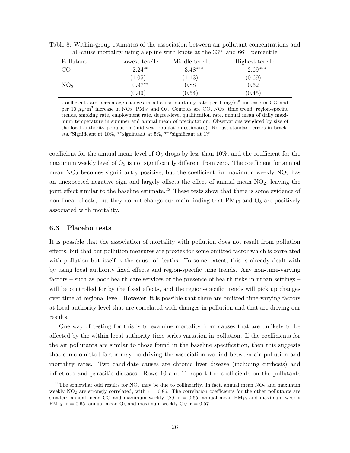|                 | $\frac{1}{2}$ called more and $\frac{1}{2}$ and $\frac{1}{2}$ and $\frac{1}{2}$ and $\frac{1}{2}$ and $\frac{1}{2}$ and $\frac{1}{2}$ and $\frac{1}{2}$ |                |                 |
|-----------------|---------------------------------------------------------------------------------------------------------------------------------------------------------|----------------|-----------------|
| Pollutant       | Lowest tercile                                                                                                                                          | Middle tercile | Highest tercile |
| CO              | $2.24**$                                                                                                                                                | $3.48***$      | $2.69***$       |
|                 | (1.05)                                                                                                                                                  | (1.13)         | (0.69)          |
| NO <sub>2</sub> | $0.97**$                                                                                                                                                | 0.88           | 0.62            |
|                 | (0.49)                                                                                                                                                  | (0.54)         | (0.45)          |

Table 8: Within-group estimates of the association between air pollutant concentrations and all-cause mortality using a spline with knots at the  $33<sup>rd</sup>$  and 66<sup>th</sup> percentile

Coefficients are percentage changes in all-cause mortality rate per  $1 \text{ mg/m}^3$  increase in CO and per 10  $\mu$ g/m<sup>3</sup> increase in NO<sub>2</sub>, PM<sub>10</sub> and O<sub>3</sub>. Controls are CO, NO<sub>2</sub>, time trend, region-specific trends, smoking rate, employment rate, degree-level qualification rate, annual mean of daily maximum temperature in summer and annual mean of precipitation. Observations weighted by size of the local authority population (mid-year population estimates). Robust standard errors in brackets.\*Significant at 10%, \*\*significant at 5%, \*\*\*significant at 1%

coefficient for the annual mean level of  $O_3$  drops by less than 10%, and the coefficient for the maximum weekly level of  $O_3$  is not significantly different from zero. The coefficient for annual mean  $NO<sub>2</sub>$  becomes significantly positive, but the coefficient for maximum weekly  $NO<sub>2</sub>$  has an unexpected negative sign and largely offsets the effect of annual mean  $NO<sub>2</sub>$ , leaving the joint effect similar to the baseline estimate.<sup>22</sup> These tests show that there is some evidence of non-linear effects, but they do not change our main finding that  $PM_{10}$  and  $O_3$  are positively associated with mortality.

#### 6.3 Placebo tests

It is possible that the association of mortality with pollution does not result from pollution effects, but that our pollution measures are proxies for some omitted factor which is correlated with pollution but itself is the cause of deaths. To some extent, this is already dealt with by using local authority fixed effects and region-specific time trends. Any non-time-varying factors – such as poor health care services or the presence of health risks in urban settings – will be controlled for by the fixed effects, and the region-specific trends will pick up changes over time at regional level. However, it is possible that there are omitted time-varying factors at local authority level that are correlated with changes in pollution and that are driving our results.

One way of testing for this is to examine mortality from causes that are unlikely to be affected by the within local authority time series variation in pollution. If the coefficients for the air pollutants are similar to those found in the baseline specification, then this suggests that some omitted factor may be driving the association we find between air pollution and mortality rates. Two candidate causes are chronic liver disease (including cirrhosis) and infectious and parasitic diseases. Rows 10 and 11 report the coefficients on the pollutants

<sup>&</sup>lt;sup>22</sup>The somewhat odd results for  $NO_2$  may be due to collinearity. In fact, annual mean  $NO_2$  and maximum weekly  $NO<sub>2</sub>$  are strongly correlated, with  $r = 0.86$ . The correlation coefficients for the other pollutants are smaller: annual mean CO and maximum weekly CO:  $r = 0.65$ , annual mean PM<sub>10</sub> and maximum weekly PM<sub>10</sub>:  $r = 0.65$ , annual mean O<sub>3</sub> and maximum weekly O<sub>3</sub>:  $r = 0.57$ .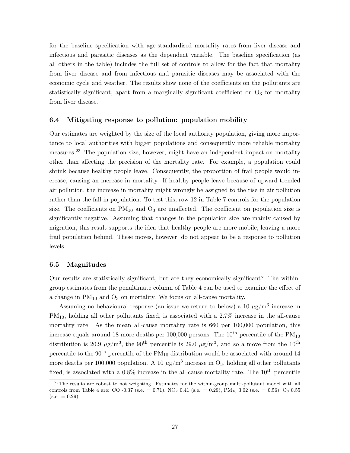for the baseline specification with age-standardised mortality rates from liver disease and infectious and parasitic diseases as the dependent variable. The baseline specification (as all others in the table) includes the full set of controls to allow for the fact that mortality from liver disease and from infectious and parasitic diseases may be associated with the economic cycle and weather. The results show none of the coefficients on the pollutants are statistically significant, apart from a marginally significant coefficient on  $O<sub>3</sub>$  for mortality from liver disease.

#### 6.4 Mitigating response to pollution: population mobility

Our estimates are weighted by the size of the local authority population, giving more importance to local authorities with bigger populations and consequently more reliable mortality measures.<sup>23</sup> The population size, however, might have an independent impact on mortality other than affecting the precision of the mortality rate. For example, a population could shrink because healthy people leave. Consequently, the proportion of frail people would increase, causing an increase in mortality. If healthy people leave because of upward-trended air pollution, the increase in mortality might wrongly be assigned to the rise in air pollution rather than the fall in population. To test this, row 12 in Table 7 controls for the population size. The coefficients on  $PM_{10}$  and  $O_3$  are unaffected. The coefficient on population size is significantly negative. Assuming that changes in the population size are mainly caused by migration, this result supports the idea that healthy people are more mobile, leaving a more frail population behind. These moves, however, do not appear to be a response to pollution levels.

#### 6.5 Magnitudes

Our results are statistically significant, but are they economically significant? The withingroup estimates from the penultimate column of Table 4 can be used to examine the effect of a change in  $PM_{10}$  and  $O_3$  on mortality. We focus on all-cause mortality.

Assuming no behavioural response (an issue we return to below) a 10  $\mu$ g/m<sup>3</sup> increase in  $PM_{10}$ , holding all other pollutants fixed, is associated with a 2.7% increase in the all-cause mortality rate. As the mean all-cause mortality rate is 660 per 100,000 population, this increase equals around 18 more deaths per 100,000 persons. The  $10<sup>th</sup>$  percentile of the PM<sub>10</sub> distribution is 20.9  $\mu$ g/m<sup>3</sup>, the 90<sup>th</sup> percentile is 29.0  $\mu$ g/m<sup>3</sup>, and so a move from the 10<sup>th</sup> percentile to the 90<sup>th</sup> percentile of the  $PM_{10}$  distribution would be associated with around 14 more deaths per 100,000 population. A 10  $\mu$ g/m<sup>3</sup> increase in O<sub>3</sub>, holding all other pollutants fixed, is associated with a  $0.8\%$  increase in the all-cause mortality rate. The  $10<sup>th</sup>$  percentile

<sup>&</sup>lt;sup>23</sup>The results are robust to not weighting. Estimates for the within-group multi-pollutant model with all controls from Table 4 are: CO -0.37 (s.e. = 0.71), NO<sub>2</sub> 0.41 (s.e. = 0.29), PM<sub>10</sub> 3.02 (s.e. = 0.56), O<sub>3</sub> 0.55  $(s.e. = 0.29).$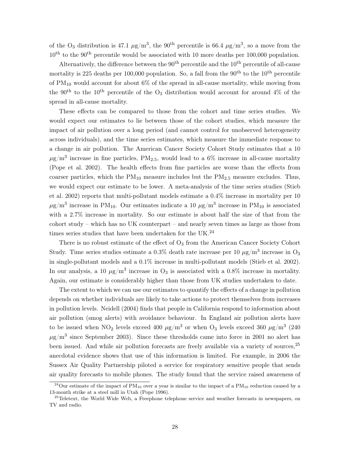of the O<sub>3</sub> distribution is 47.1  $\mu$ g/m<sup>3</sup>, the 90<sup>th</sup> percentile is 66.4  $\mu$ g/m<sup>3</sup>, so a move from the  $10<sup>th</sup>$  to the 90<sup>th</sup> percentile would be associated with 10 more deaths per 100,000 population.

Alternatively, the difference between the  $90<sup>th</sup>$  percentile and the  $10<sup>th</sup>$  percentile of all-cause mortality is 225 deaths per 100,000 population. So, a fall from the  $90<sup>th</sup>$  to the  $10<sup>th</sup>$  percentile of  $PM_{10}$  would account for about 6% of the spread in all-cause mortality, while moving from the 90<sup>th</sup> to the 10<sup>th</sup> percentile of the  $O_3$  distribution would account for around 4% of the spread in all-cause mortality.

These effects can be compared to those from the cohort and time series studies. We would expect our estimates to lie between those of the cohort studies, which measure the impact of air pollution over a long period (and cannot control for unobserved heterogeneity across individuals), and the time series estimates, which measure the immediate response to a change in air pollution. The American Cancer Society Cohort Study estimates that a 10  $\mu$ g/m<sup>3</sup> increase in fine particles, PM<sub>2.5</sub>, would lead to a 6% increase in all-cause mortality (Pope et al. 2002). The health effects from fine particles are worse than the effects from coarser particles, which the  $PM_{10}$  measure includes but the  $PM_{2.5}$  measure excludes. Thus, we would expect our estimate to be lower. A meta-analysis of the time series studies (Stieb et al. 2002) reports that multi-pollutant models estimate a 0.4% increase in mortality per 10  $\mu$ g/m<sup>3</sup> increase in PM<sub>10</sub>. Our estimates indicate a 10  $\mu$ g/m<sup>3</sup> increase in PM<sub>10</sub> is associated with a 2.7% increase in mortality. So our estimate is about half the size of that from the cohort study – which has no UK counterpart – and nearly seven times as large as those from times series studies that have been undertaken for the UK.<sup>24</sup>

There is no robust estimate of the effect of  $O_3$  from the American Cancer Society Cohort Study. Time series studies estimate a 0.3% death rate increase per 10  $\mu$ g/m<sup>3</sup> increase in O<sub>3</sub> in single-pollutant models and a 0.1% increase in multi-pollutant models (Stieb et al. 2002). In our analysis, a 10  $\mu$ g/m<sup>3</sup> increase in O<sub>3</sub> is associated with a 0.8% increase in mortality. Again, our estimate is considerably higher than those from UK studies undertaken to date.

The extent to which we can use our estimates to quantify the effects of a change in pollution depends on whether individuals are likely to take actions to protect themselves from increases in pollution levels. Neidell (2004) finds that people in California respond to information about air pollution (smog alerts) with avoidance behaviour. In England air pollution alerts have to be issued when NO<sub>2</sub> levels exceed 400  $\mu$ g/m<sup>3</sup> or when O<sub>3</sub> levels exceed 360  $\mu$ g/m<sup>3</sup> (240  $\mu$ g/m<sup>3</sup> since September 2003). Since these thresholds came into force in 2001 no alert has been issued. And while air pollution forecasts are freely available via a variety of sources,  $^{25}$ anecdotal evidence shows that use of this information is limited. For example, in 2006 the Sussex Air Quality Partnership piloted a service for respiratory sensitive people that sends air quality forecasts to mobile phones. The study found that the service raised awareness of

<sup>&</sup>lt;sup>24</sup>Our estimate of the impact of  $PM_{10}$  over a year is similar to the impact of a  $PM_{10}$  reduction caused by a 13-month strike at a steel mill in Utah (Pope 1996).

 $25$ Teletext, the World Wide Web, a Freephone telephone service and weather forecasts in newspapers, on TV and radio.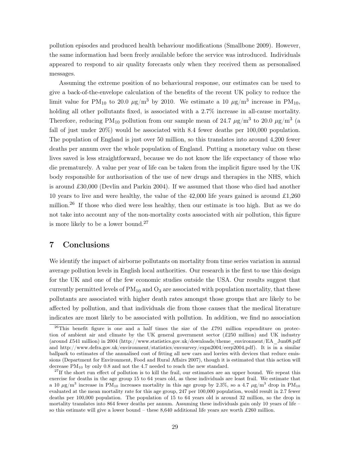pollution episodes and produced health behaviour modifications (Smallbone 2009). However, the same information had been freely available before the service was introduced. Individuals appeared to respond to air quality forecasts only when they received them as personalised messages.

Assuming the extreme position of no behavioural response, our estimates can be used to give a back-of-the-envelope calculation of the benefits of the recent UK policy to reduce the limit value for PM<sub>10</sub> to 20.0  $\mu$ g/m<sup>3</sup> by 2010. We estimate a 10  $\mu$ g/m<sup>3</sup> increase in PM<sub>10</sub>, holding all other pollutants fixed, is associated with a 2.7% increase in all-cause mortality. Therefore, reducing PM<sub>10</sub> pollution from our sample mean of 24.7  $\mu$ g/m<sup>3</sup> to 20.0  $\mu$ g/m<sup>3</sup> (a fall of just under 20%) would be associated with 8.4 fewer deaths per 100,000 population. The population of England is just over 50 million, so this translates into around 4,200 fewer deaths per annum over the whole population of England. Putting a monetary value on these lives saved is less straightforward, because we do not know the life expectancy of those who die prematurely. A value per year of life can be taken from the implicit figure used by the UK body responsible for authorisation of the use of new drugs and therapies in the NHS, which is around £30,000 (Devlin and Parkin 2004). If we assumed that those who died had another 10 years to live and were healthy, the value of the 42,000 life years gained is around £1,260 million.<sup>26</sup> If those who died were less healthy, then our estimate is too high. But as we do not take into account any of the non-mortality costs associated with air pollution, this figure is more likely to be a lower bound.<sup>27</sup>

### 7 Conclusions

We identify the impact of airborne pollutants on mortality from time series variation in annual average pollution levels in English local authorities. Our research is the first to use this design for the UK and one of the few economic studies outside the USA. Our results suggest that currently permitted levels of  $PM_{10}$  and  $O_3$  are associated with population mortality, that these pollutants are associated with higher death rates amongst those groups that are likely to be affected by pollution, and that individuals die from those causes that the medical literature indicates are most likely to be associated with pollution. In addition, we find no association

 $^{26}$ This benefit figure is one and a half times the size of the £791 million expenditure on protection of ambient air and climate by the UK general government sector (£250 million) and UK industry (around £541 million) in 2004 (http://www.statistics.gov.uk/downloads/theme\_environment/EA\_Jun08.pdf and http://www.defra.gov.uk/environment/statistics/envsurvey/expn2004/eerp2004.pdf). It is in a similar ballpark to estimates of the annualised cost of fitting all new cars and lorries with devices that reduce emissions (Department for Environment, Food and Rural Affairs 2007), though it is estimated that this action will decrease  $PM_{10}$  by only 0.8 and not the 4.7 needed to reach the new standard.

 $^{27}$ If the short run effect of pollution is to kill the frail, our estimates are an upper bound. We repeat this exercise for deaths in the age group 15 to 64 years old, as these individuals are least frail. We estimate that a 10  $\mu$ g/m<sup>3</sup> increase in PM<sub>10</sub> increases mortality in this age group by 2.3%, so a 4.7  $\mu$ g/m<sup>3</sup> drop in PM<sub>10</sub> evaluated at the mean mortality rate for this age group, 247 per 100,000 population, would result in 2.7 fewer deaths per 100,000 population. The population of 15 to 64 years old is around 32 million, so the drop in mortality translates into 864 fewer deaths per annum. Assuming these individuals gain only 10 years of life – so this estimate will give a lower bound – these 8,640 additional life years are worth £260 million.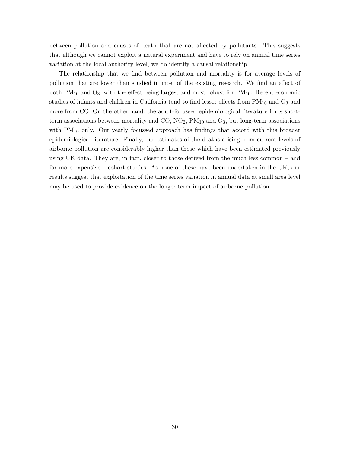between pollution and causes of death that are not affected by pollutants. This suggests that although we cannot exploit a natural experiment and have to rely on annual time series variation at the local authority level, we do identify a causal relationship.

The relationship that we find between pollution and mortality is for average levels of pollution that are lower than studied in most of the existing research. We find an effect of both  $PM_{10}$  and  $O_3$ , with the effect being largest and most robust for  $PM_{10}$ . Recent economic studies of infants and children in California tend to find lesser effects from  $PM_{10}$  and  $O_3$  and more from CO. On the other hand, the adult-focussed epidemiological literature finds shortterm associations between mortality and  $CO$ ,  $NO<sub>2</sub>$ ,  $PM<sub>10</sub>$  and  $O<sub>3</sub>$ , but long-term associations with PM<sup>10</sup> only. Our yearly focussed approach has findings that accord with this broader epidemiological literature. Finally, our estimates of the deaths arising from current levels of airborne pollution are considerably higher than those which have been estimated previously using UK data. They are, in fact, closer to those derived from the much less common – and far more expensive – cohort studies. As none of these have been undertaken in the UK, our results suggest that exploitation of the time series variation in annual data at small area level may be used to provide evidence on the longer term impact of airborne pollution.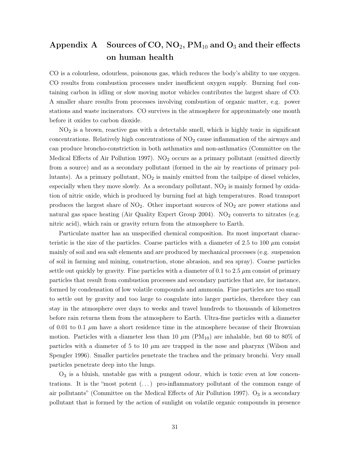# Appendix A Sources of CO,  $NO_2$ ,  $PM_{10}$  and  $O_3$  and their effects on human health

CO is a colourless, odourless, poisonous gas, which reduces the body's ability to use oxygen. CO results from combustion processes under insufficient oxygen supply. Burning fuel containing carbon in idling or slow moving motor vehicles contributes the largest share of CO. A smaller share results from processes involving combustion of organic matter, e.g. power stations and waste incinerators. CO survives in the atmosphere for approximately one month before it oxides to carbon dioxide.

NO<sup>2</sup> is a brown, reactive gas with a detectable smell, which is highly toxic in significant concentrations. Relatively high concentrations of  $NO<sub>2</sub>$  cause inflammation of the airways and can produce broncho-constriction in both asthmatics and non-asthmatics (Committee on the Medical Effects of Air Pollution 1997).  $NO<sub>2</sub>$  occurs as a primary pollutant (emitted directly from a source) and as a secondary pollutant (formed in the air by reactions of primary pollutants). As a primary pollutant,  $NO<sub>2</sub>$  is mainly emitted from the tailpipe of diesel vehicles, especially when they move slowly. As a secondary pollutant,  $NO<sub>2</sub>$  is mainly formed by oxidation of nitric oxide, which is produced by burning fuel at high temperatures. Road transport produces the largest share of  $NO<sub>2</sub>$ . Other important sources of  $NO<sub>2</sub>$  are power stations and natural gas space heating (Air Quality Expert Group 2004).  $NO<sub>2</sub>$  converts to nitrates (e.g. nitric acid), which rain or gravity return from the atmosphere to Earth.

Particulate matter has an unspecified chemical composition. Its most important characteristic is the size of the particles. Coarse particles with a diameter of 2.5 to 100  $\mu$ m consist mainly of soil and sea salt elements and are produced by mechanical processes (e.g. suspension of soil in farming and mining, construction, stone abrasion, and sea spray). Coarse particles settle out quickly by gravity. Fine particles with a diameter of 0.1 to 2.5  $\mu$ m consist of primary particles that result from combustion processes and secondary particles that are, for instance, formed by condensation of low volatile compounds and ammonia. Fine particles are too small to settle out by gravity and too large to coagulate into larger particles, therefore they can stay in the atmosphere over days to weeks and travel hundreds to thousands of kilometres before rain returns them from the atmosphere to Earth. Ultra-fine particles with a diameter of 0.01 to 0.1  $\mu$ m have a short residence time in the atmosphere because of their Brownian motion. Particles with a diameter less than 10  $\mu$ m (PM<sub>10</sub>) are inhalable, but 60 to 80% of particles with a diameter of 5 to 10  $\mu$ m are trapped in the nose and pharynx (Wilson and Spengler 1996). Smaller particles penetrate the trachea and the primary bronchi. Very small particles penetrate deep into the lungs.

 $O_3$  is a bluish, unstable gas with a pungent odour, which is toxic even at low concentrations. It is the "most potent (. . . ) pro-inflammatory pollutant of the common range of air pollutants" (Committee on the Medical Effects of Air Pollution 1997).  $O_3$  is a secondary pollutant that is formed by the action of sunlight on volatile organic compounds in presence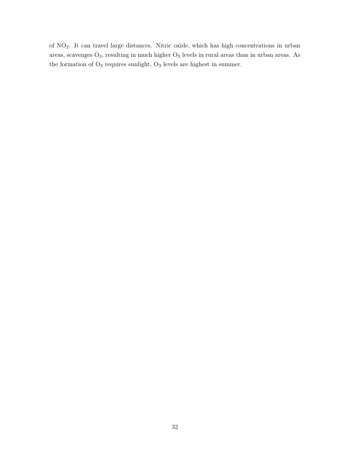of NO2. It can travel large distances. Nitric oxide, which has high concentrations in urban areas, scavenges  $O_3$ , resulting in much higher  $O_3$  levels in rural areas than in urban areas. As the formation of  $\mathrm{O}_3$  requires sunlight,  $\mathrm{O}_3$  levels are highest in summer.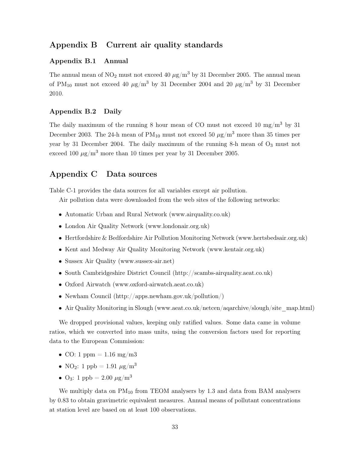### Appendix B Current air quality standards

#### Appendix B.1 Annual

The annual mean of  $NO_2$  must not exceed 40  $\mu$ g/m<sup>3</sup> by 31 December 2005. The annual mean of PM<sub>10</sub> must not exceed 40  $\mu$ g/m<sup>3</sup> by 31 December 2004 and 20  $\mu$ g/m<sup>3</sup> by 31 December 2010.

#### Appendix B.2 Daily

The daily maximum of the running 8 hour mean of CO must not exceed 10 mg/m<sup>3</sup> by 31 December 2003. The 24-h mean of  $PM_{10}$  must not exceed 50  $\mu$ g/m<sup>3</sup> more than 35 times per year by 31 December 2004. The daily maximum of the running 8-h mean of  $O_3$  must not exceed 100  $\mu$ g/m<sup>3</sup> more than 10 times per year by 31 December 2005.

### Appendix C Data sources

Table C-1 provides the data sources for all variables except air pollution.

Air pollution data were downloaded from the web sites of the following networks:

- Automatic Urban and Rural Network (www.airquality.co.uk)
- London Air Quality Network (www.londonair.org.uk)
- Hertfordshire & Bedfordshire Air Pollution Monitoring Network (www.hertsbedsair.org.uk)
- Kent and Medway Air Quality Monitoring Network (www.kentair.org.uk)
- Sussex Air Quality (www.sussex-air.net)
- South Cambridgeshire District Council (http://scambs-airquality.aeat.co.uk)
- Oxford Airwatch (www.oxford-airwatch.aeat.co.uk)
- Newham Council (http://apps.newham.gov.uk/pollution/)
- Air Quality Monitoring in Slough (www.aeat.co.uk/netcen/aqarchive/slough/site\_map.html)

We dropped provisional values, keeping only ratified values. Some data came in volume ratios, which we converted into mass units, using the conversion factors used for reporting data to the European Commission:

- CO: 1 ppm = 1.16 mg/m3
- NO<sub>2</sub>: 1 ppb = 1.91  $\mu$ g/m<sup>3</sup>
- O<sub>3</sub>: 1 ppb = 2.00  $\mu$ g/m<sup>3</sup>

We multiply data on  $PM_{10}$  from TEOM analysers by 1.3 and data from BAM analysers by 0.83 to obtain gravimetric equivalent measures. Annual means of pollutant concentrations at station level are based on at least 100 observations.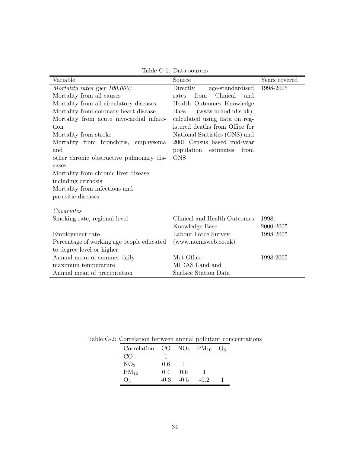| Variable                                  | Source                           | Years covered |
|-------------------------------------------|----------------------------------|---------------|
| Mortality rates (per 100,000)             | Directly<br>age-standardised     | 1998-2005     |
| Mortality from all causes                 | Clinical<br>from<br>rates<br>and |               |
| Mortality from all circulatory diseases   | Health Outcomes Knowledge        |               |
| Mortality from coronary heart disease     | (www. nchod.nhs.uk),<br>Baes     |               |
| Mortality from acute myocardial infarc-   | calculated using data on reg-    |               |
| tion                                      | istered deaths from Office for   |               |
| Mortality from stroke                     | National Statistics (ONS) and    |               |
| Mortality from bronchitis, emphysema      | 2001 Census based mid-year       |               |
| and                                       | population<br>estimates<br>from  |               |
| other chronic obstructive pulmonary dis-  | <b>ONS</b>                       |               |
| eases                                     |                                  |               |
| Mortality from chronic liver disease      |                                  |               |
| including cirrhosis                       |                                  |               |
| Mortality from infectious and             |                                  |               |
| parasitic diseases                        |                                  |               |
|                                           |                                  |               |
| Covariates                                |                                  |               |
| Smoking rate, regional level              | Clinical and Health Outcomes     | 1998,         |
|                                           | Knowledge Base                   | 2000-2005     |
| Employment rate                           | Labour Force Survey              | 1998-2005     |
| Percentage of working age people educated | (www.nomisweb.co.uk)             |               |
| to degree level or higher                 |                                  |               |
| Annual mean of summer daily               | Met Office -                     | 1998-2005     |
| maximum temperature                       | MIDAS Land and                   |               |
| Annual mean of precipitation              | Surface Station Data             |               |

Table C-1: Data sources

|  |  |  |  |  |  | Table C-2: Correlation between annual pollutant concentrations |
|--|--|--|--|--|--|----------------------------------------------------------------|
|--|--|--|--|--|--|----------------------------------------------------------------|

| Correlation       | CO     |        | $NO2$ $PM10$ | O2 |
|-------------------|--------|--------|--------------|----|
| CO                |        |        |              |    |
| NO <sub>2</sub>   | 0.6    |        |              |    |
| $PM_{10}$         | 0.4    | 0.6    |              |    |
| $\mathcal{L}_{2}$ | $-0.3$ | $-0.5$ | -0.2         |    |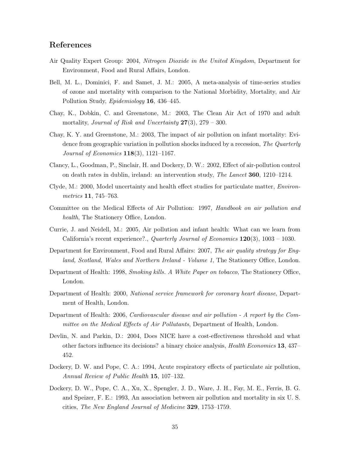### References

- Air Quality Expert Group: 2004, Nitrogen Dioxide in the United Kingdom, Department for Environment, Food and Rural Affairs, London.
- Bell, M. L., Dominici, F. and Samet, J. M.: 2005, A meta-analysis of time-series studies of ozone and mortality with comparison to the National Morbidity, Mortality, and Air Pollution Study, *Epidemiology* **16**, 436–445.
- Chay, K., Dobkin, C. and Greenstone, M.: 2003, The Clean Air Act of 1970 and adult mortality, Journal of Risk and Uncertainty  $27(3)$ ,  $279 - 300$ .
- Chay, K. Y. and Greenstone, M.: 2003, The impact of air pollution on infant mortality: Evidence from geographic variation in pollution shocks induced by a recession, The Quarterly *Journal of Economics*  $118(3)$ ,  $1121-1167$ .
- Clancy, L., Goodman, P., Sinclair, H. and Dockery, D. W.: 2002, Effect of air-pollution control on death rates in dublin, ireland: an intervention study, The Lancet 360, 1210–1214.
- Clyde, M.: 2000, Model uncertainty and health effect studies for particulate matter, Environmetrics 11, 745–763.
- Committee on the Medical Effects of Air Pollution: 1997, Handbook on air pollution and health, The Stationery Office, London.
- Currie, J. and Neidell, M.: 2005, Air pollution and infant health: What can we learn from California's recent experience?., Quarterly Journal of Economics  $120(3)$ ,  $1003 - 1030$ .
- Department for Environment, Food and Rural Affairs: 2007, The air quality strategy for England, Scotland, Wales and Northern Ireland - Volume 1, The Stationery Office, London.
- Department of Health: 1998, Smoking kills. A White Paper on tobacco, The Stationery Office, London.
- Department of Health: 2000, National service framework for coronary heart disease, Department of Health, London.
- Department of Health: 2006, Cardiovascular disease and air pollution A report by the Committee on the Medical Effects of Air Pollutants, Department of Health, London.
- Devlin, N. and Parkin, D.: 2004, Does NICE have a cost-effectiveness threshold and what other factors influence its decisions? a binary choice analysis, Health Economics 13, 437– 452.
- Dockery, D. W. and Pope, C. A.: 1994, Acute respiratory effects of particulate air pollution, Annual Review of Public Health 15, 107–132.
- Dockery, D. W., Pope, C. A., Xu, X., Spengler, J. D., Ware, J. H., Fay, M. E., Ferris, B. G. and Speizer, F. E.: 1993, An association between air pollution and mortality in six U. S. cities, The New England Journal of Medicine 329, 1753–1759.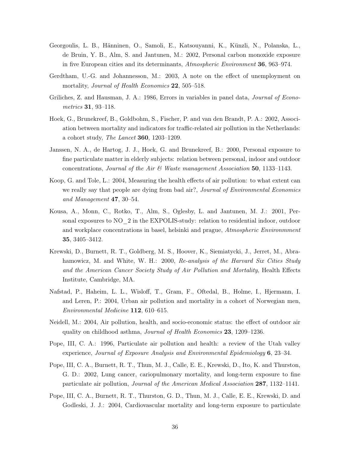- Georgoulis, L. B., Hänninen, O., Samoli, E., Katsouyanni, K., Künzli, N., Polanska, L., de Bruin, Y. B., Alm, S. and Jantunen, M.: 2002, Personal carbon monoxide exposure in five European cities and its determinants, Atmospheric Environment 36, 963–974.
- Gerdtham, U.-G. and Johannesson, M.: 2003, A note on the effect of unemployment on mortality, *Journal of Health Economics* 22, 505–518.
- Griliches, Z. and Hausman, J. A.: 1986, Errors in variables in panel data, *Journal of Econo*metrics **31**, 93–118.
- Hoek, G., Brunekreef, B., Goldbohm, S., Fischer, P. and van den Brandt, P. A.: 2002, Association between mortality and indicators for traffic-related air pollution in the Netherlands: a cohort study, The Lancet 360, 1203–1209.
- Janssen, N. A., de Hartog, J. J., Hoek, G. and Brunekreef, B.: 2000, Personal exposure to fine particulate matter in elderly subjects: relation between personal, indoor and outdoor concentrations, Journal of the Air & Waste management Association 50, 1133–1143.
- Koop, G. and Tole, L.: 2004, Measuring the health effects of air pollution: to what extent can we really say that people are dying from bad air?, *Journal of Environmental Economics* and Management  $47, 30-54$ .
- Kousa, A., Monn, C., Rotko, T., Alm, S., Oglesby, L. and Jantunen, M. J.: 2001, Personal exposures to NO  $\,$  2 in the EXPOLIS-study: relation to residential indoor, outdoor and workplace concentrations in basel, helsinki and prague, Atmospheric Environmment 35, 3405–3412.
- Krewski, D., Burnett, R. T., Goldberg, M. S., Hoover, K., Siemiatycki, J., Jerret, M., Abrahamowicz, M. and White, W. H.: 2000, Re-analysis of the Harvard Six Cities Study and the American Cancer Society Study of Air Pollution and Mortality, Health Effects Institute, Cambridge, MA.
- Nafstad, P., Haheim, L. L., Wisloff, T., Gram, F., Oftedal, B., Holme, I., Hjermann, I. and Leren, P.: 2004, Urban air pollution and mortality in a cohort of Norwegian men, Environmental Medicine 112, 610–615.
- Neidell, M.: 2004, Air pollution, health, and socio-economic status: the effect of outdoor air quality on childhood asthma, Journal of Health Economics 23, 1209–1236.
- Pope, III, C. A.: 1996, Particulate air pollution and health: a review of the Utah valley experience, Journal of Exposure Analysis and Environmental Epidemiology 6, 23–34.
- Pope, III, C. A., Burnett, R. T., Thun, M. J., Calle, E. E., Krewski, D., Ito, K. and Thurston, G. D.: 2002, Lung cancer, cariopulmonary mortality, and long-term exposure to fine particulate air pollution, Journal of the American Medical Association 287, 1132–1141.
- Pope, III, C. A., Burnett, R. T., Thurston, G. D., Thun, M. J., Calle, E. E., Krewski, D. and Godleski, J. J.: 2004, Cardiovascular mortality and long-term exposure to particulate